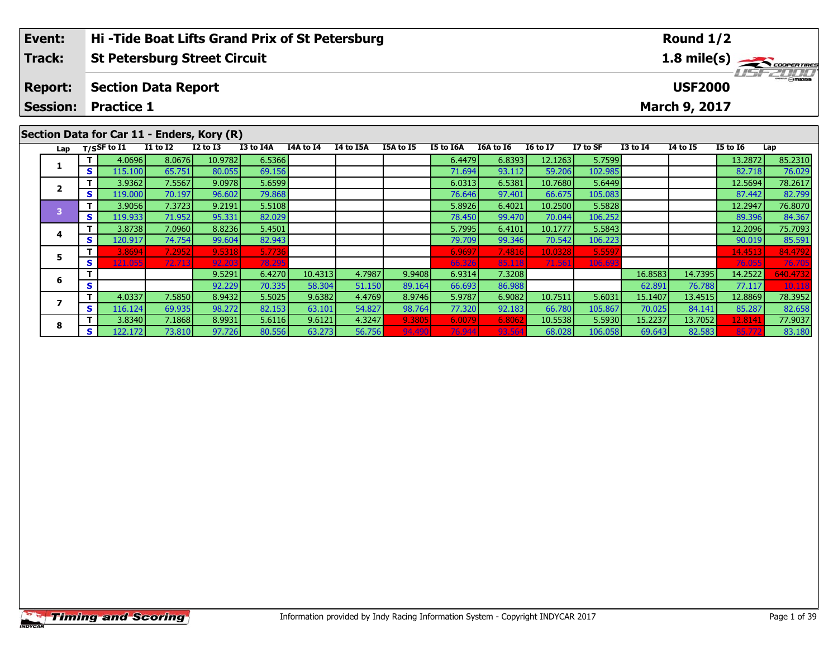| Event:         | <b>Hi-Tide Boat Lifts Grand Prix of St Petersburg</b> | Round $1/2$                             |  |  |  |  |  |  |  |
|----------------|-------------------------------------------------------|-----------------------------------------|--|--|--|--|--|--|--|
| Track:         | <b>St Petersburg Street Circuit</b>                   | $1.8$ mile(s) $\rightarrow$ COOPERTIRES |  |  |  |  |  |  |  |
| <b>Report:</b> | <b>Section Data Report</b>                            | $\frac{2}{\omega}$<br><b>USF2000</b>    |  |  |  |  |  |  |  |
|                | <b>Session: Practice 1</b>                            | <b>March 9, 2017</b>                    |  |  |  |  |  |  |  |
|                |                                                       |                                         |  |  |  |  |  |  |  |
|                | Section Data for Car 11 - Enders, Kory (R)            |                                         |  |  |  |  |  |  |  |

| $=$ $\cdots$ $\cdots$ , $\cdots$ |          |                   |                 |              |           |           |           |           |                  |           |                 |          |              |                 |                 |                 |
|----------------------------------|----------|-------------------|-----------------|--------------|-----------|-----------|-----------|-----------|------------------|-----------|-----------------|----------|--------------|-----------------|-----------------|-----------------|
|                                  |          | Lap $T/SSF$ to I1 | <b>I1 to I2</b> | $I2$ to $I3$ | I3 to I4A | I4A to I4 | I4 to I5A | I5A to I5 | <b>I5 to I6A</b> | I6A to I6 | <b>16 to 17</b> | I7 to SF | $I3$ to $I4$ | <b>I4 to I5</b> | <b>I5 to 16</b> | Lap             |
|                                  | T I      | 4.0696            | 8.0676          | 10.9782      | 6.5366    |           |           |           | 6.4479           | 6.8393    | 12.1263         | 5.7599   |              |                 | 13.2872         | 85.2310         |
|                                  | S.       | 115.100           | 65.751          | 80.055       | 69.156    |           |           |           | 71.694           | 93.112    | 59.206          | 102.985  |              |                 | 82.718          | 76.029          |
|                                  |          | 3.9362            | 7.5567          | 9.0978       | 5.6599    |           |           |           | 6.0313           | 6.5381    | 10.7680         | 5.6449   |              |                 | 12.5694         | 78.2617         |
|                                  | S.       | 119.000           | 70.197          | 96.602       | 79.868    |           |           |           | 76.646           | 97.401    | 66.675          | 105.083  |              |                 | 87.442          | 82.799          |
|                                  | T.       | 3.9056            | 7.3723          | 9.2191       | 5.5108    |           |           |           | 5.8926           | 6.4021    | 10.2500         | 5.5828   |              |                 | 12.2947         | 76.8070         |
|                                  | <b>S</b> | 119.9331          | 71.952          | 95.331       | 82.029    |           |           |           | 78.450           | 99.470    | 70.044          | 106.252  |              |                 | 89.396          | 84.367          |
|                                  | Τ.       | 3.8738            | 7.0960          | 8.8236       | 5.4501    |           |           |           | 5.7995           | 6.4101    | 10.1777         | 5.5843   |              |                 | 12.2096         | 75.7093         |
|                                  | S.       | 120.917           | 74.754          | 99.604       | 82.943    |           |           |           | 79.709           | 99.346    | 70.542          | 106.223  |              |                 | 90.019          | 85.591          |
|                                  |          | 3.8694            | 7.2952          | 9.5318       | 5.7736    |           |           |           | 6.9697           | 7.4816    | 10.0328         | 5.5597   |              |                 | 14.4513         | 84.4792         |
|                                  | S        | 121.055           | 72.713          | 92.203       | 78.295    |           |           |           | 66.326           | 85.118    | 71.561          | 106.693  |              |                 | 76.055          | 76.705          |
|                                  |          |                   |                 | 9.5291       | 6.4270    | 10.4313   | 4.7987    | 9.9408    | 6.9314           | 7.3208    |                 |          | 16.8583      | 14.7395         | 14.2522         | <b>540.4732</b> |
|                                  | S        |                   |                 | 92.229       | 70.335    | 58.304    | 51.150    | 89.164    | 66.693           | 86.988    |                 |          | 62.891       | 76.788          | 77.117          | 10.118          |
|                                  | T.       | 4.0337            | 7.5850          | 8.9432       | 5.5025    | 9.6382    | 4.4769    | 8.9746    | 5.9787           | 6.9082    | 10.7511         | 5.6031   | 15.1407      | 13.4515         | 12.8869         | 78.3952         |
|                                  | S.       | 116.124           | 69.935          | 98.272       | 82.153    | 63.101    | 54.827    | 98.764    | 77.320           | 92.183    | 66.780          | 105.867  | 70.025       | 84.141          | 85.287          | 82.658          |
|                                  |          | 3.8340            | 7.1868          | 8.9931       | 5.6116    | 9.6121    | 4.3247    | 9.3805    | 6.0079           | 6.8062    | 10.5538         | 5.5930   | 15.2237      | 13.7052         | 12.814          | 77.9037         |
|                                  | S.       | 122.172           | 73.810          | 97.726       | 80.556    | 63.273    | 56.756    | 94.490    | 76.944           | 93.564    | 68.028          | 106.058  | 69.643       | 82.583          | 85.77           | 83.180          |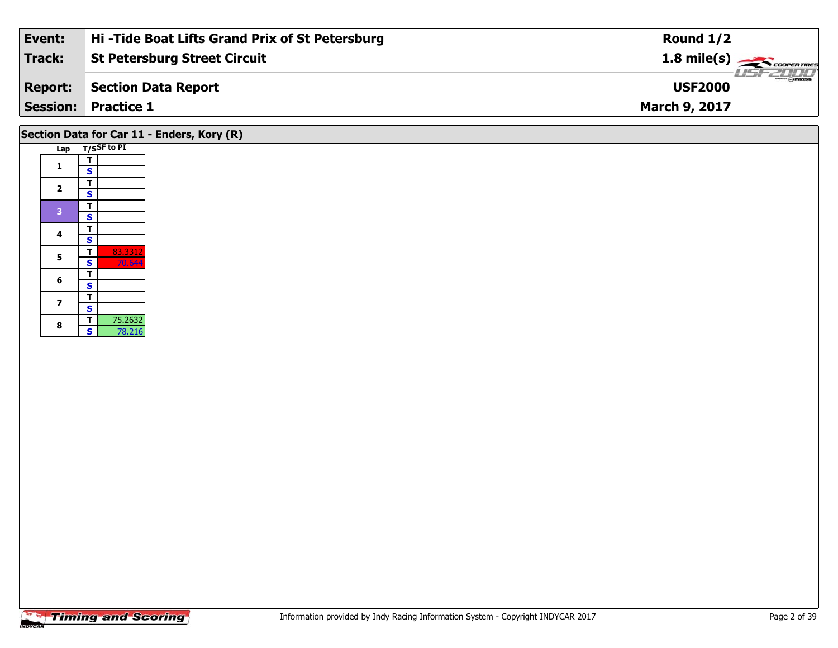| Event:         | Hi-Tide Boat Lifts Grand Prix of St Petersburg | Round $1/2$          |
|----------------|------------------------------------------------|----------------------|
| <b>Track:</b>  | <b>St Petersburg Street Circuit</b>            | 1.8 mile(s)          |
| <b>Report:</b> | Section Data Report                            | <b>USF2000</b>       |
|                | <b>Session: Practice 1</b>                     | <b>March 9, 2017</b> |
|                |                                                |                      |

# **Section Data for Car 11 - Enders, Kory (R)**

|  | Lap            |                         | T/SSF to PI |
|--|----------------|-------------------------|-------------|
|  | 1              | т                       |             |
|  |                | S                       |             |
|  | $\overline{2}$ | т                       |             |
|  |                | S                       |             |
|  | 3              | T                       |             |
|  |                | $\overline{\mathbf{s}}$ |             |
|  | 4              | T                       |             |
|  |                | S                       |             |
|  | 5              | т                       | 83.3312     |
|  |                | $\overline{\mathbf{s}}$ | 70.644      |
|  | 6              | т                       |             |
|  |                | S                       |             |
|  | 7              | T                       |             |
|  |                | S                       |             |
|  | 8              | т                       | 75.2632     |
|  |                | Ś                       | 78.216      |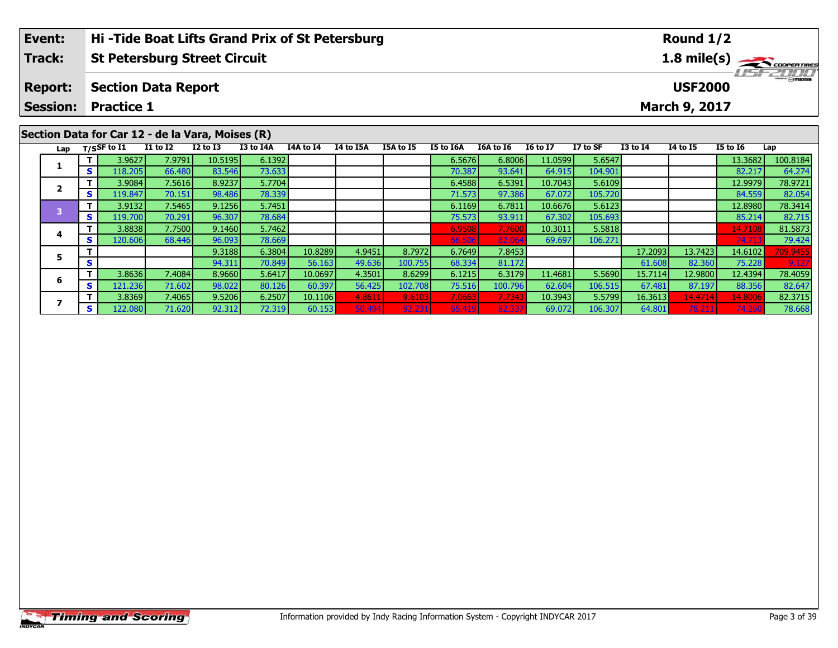| Event:         | Hi-Tide Boat Lifts Grand Prix of St Petersburg   | Round $1/2$                   |  |  |  |  |  |  |  |
|----------------|--------------------------------------------------|-------------------------------|--|--|--|--|--|--|--|
| <b>Track:</b>  | <b>St Petersburg Street Circuit</b>              | 1.8 mile(s)                   |  |  |  |  |  |  |  |
| <b>Report:</b> | <b>Section Data Report</b>                       | $H = -2H H$<br><b>USF2000</b> |  |  |  |  |  |  |  |
|                | <b>Session: Practice 1</b>                       | March 9, 2017                 |  |  |  |  |  |  |  |
|                |                                                  |                               |  |  |  |  |  |  |  |
|                | Section Data for Car 12 - de la Vara, Moises (R) |                               |  |  |  |  |  |  |  |

| Lap |    | T/SSF to $I1$ | <b>I1 to I2</b> | <b>I2 to I3</b> | <b>I3 to I4A</b> | I4A to I4 | <b>I4 to I5A</b> | <b>I5A to I5</b> | I5 to I6A | <b>I6A to I6</b> | <b>16 to 17</b> | I7 to SF | <b>I3 to I4</b> | <b>I4 to I5</b> | <b>I5 to I6</b> | Lap      |
|-----|----|---------------|-----------------|-----------------|------------------|-----------|------------------|------------------|-----------|------------------|-----------------|----------|-----------------|-----------------|-----------------|----------|
|     |    | 3.9627        | 7.9791          | 10.5195         | 6.1392           |           |                  |                  | 6.5676    | 6.8006           | 11.0599         | 5.6547   |                 |                 | 13.3682         | 100.8184 |
|     | S. | 118.205       | 66.480          | 83.546          | 73.633           |           |                  |                  | 70.387    | 93.641           | 64.915          | 104.901  |                 |                 | 82.217          | 64.274   |
|     |    | 3.9084        | 7.5616          | 8.9237          | 5.7704           |           |                  |                  | 6.4588    | 6.5391           | 10.7043         | 5.6109   |                 |                 | 12.9979         | 78.9721  |
|     | S. | 119.847       | 70.151          | 98.486          | 78.339           |           |                  |                  | 71.573    | 97.386           | 67.072          | 105.720  |                 |                 | 84.559          | 82.054   |
|     |    | 3.9132        | 7.5465          | 9.1256          | 5.7451           |           |                  |                  | 6.1169    | 6.7811           | 10.6676         | 5.6123   |                 |                 | 12.8980         | 78.3414  |
|     | S. | 19.700        | 70.291          | 96.307          | 78.684           |           |                  |                  | 75.573    | 93.911           | 67.302          | 105.693  |                 |                 | 85.214          | 82.715   |
|     |    | 3.8838        | 7.7500          | 9.1460          | 5.7462           |           |                  |                  | 6.9508    | 7.7600           | 10.3011         | 5.5818   |                 |                 | 14.7108         | 81.5873  |
|     | S. | 120.606       | 68.446          | 96.093          | 78.669           |           |                  |                  | 66.506    | 82.064           | 69.697          | 106.271  |                 |                 | 74.713          | 79.424   |
|     |    |               |                 | 9.3188          | 6.3804           | 10.8289   | 4.9451           | 8.7972           | 6.7649    | 7.8453           |                 |          | 17.2093         | 13.7423         | 14.6102         | 709.9455 |
|     | S  |               |                 | 94.311          | 70.849           | 56.163    | 49.636           | 100.755          | 68.334    | 81.172           |                 |          | 61.608          | 82.360          | 75.228          | 9.127    |
|     |    | 3.8636        | 7.4084          | 8.9660          | 5.6417           | 10.0697   | 4.3501           | 8.6299           | 6.1215    | 6.3179           | 11.4681         | 5.5690   | 15.7114         | 12.9800         | 12.4394         | 78.4059  |
|     | S. | 121.236       | 71.602          | 98.022          | 80.126           | 60.397    | 56.425           | 102.708          | 75.516    | 100.796          | 62.604          | 106.515  | 67.481          | 87.197          | 88.356          | 82.647   |
|     |    | 3.8369        | 7.4065          | 9.5206          | 6.2507           | 10.1106   | 4.8611           | 9.6103           | 7.0663    | 7.7343           | 10.3943         | 5.5799   | 16.3613         | 14.4714         | 14.800          | 82.3715  |
|     | S. | L22.080       | 71.620          | 92.312          | 72.319 l         | 60.153    | 50.494           | 92.231           | 65.419    | 82.337           | 69.072          | 106.307  | 64.801          | 78.21           | 74.26           | 78.668   |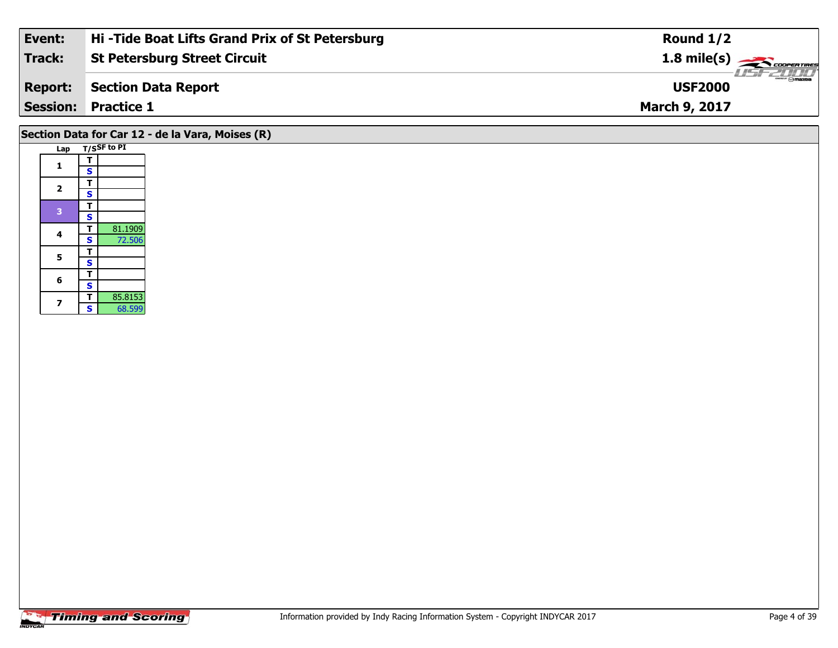| Event:         | Hi-Tide Boat Lifts Grand Prix of St Petersburg | Round $1/2$                                                |
|----------------|------------------------------------------------|------------------------------------------------------------|
| Track:         | <b>St Petersburg Street Circuit</b>            | $1.8$ mile(s) $\overbrace{\phantom{1}}^{1.8}$ cooren TIRES |
| <b>Report:</b> | Section Data Report                            | <b>Omazoa</b><br><b>USF2000</b>                            |
|                | <b>Session: Practice 1</b>                     | <b>March 9, 2017</b>                                       |
|                |                                                |                                                            |

# **Section Data for Car 12 - de la Vara, Moises (R)**

| Lap            |                         | T/SSF to PI |
|----------------|-------------------------|-------------|
|                | т                       |             |
| 1              | S                       |             |
| $\overline{2}$ | т                       |             |
|                | S                       |             |
| 3              | т                       |             |
|                | S                       |             |
| 4              | т                       | 81.1909     |
|                | S                       | 72.506      |
| 5              | т                       |             |
|                | $\overline{\mathbf{s}}$ |             |
| 6              | т                       |             |
|                | S                       |             |
| 7              | т                       | 85.8153     |
|                | Š                       | 68.599      |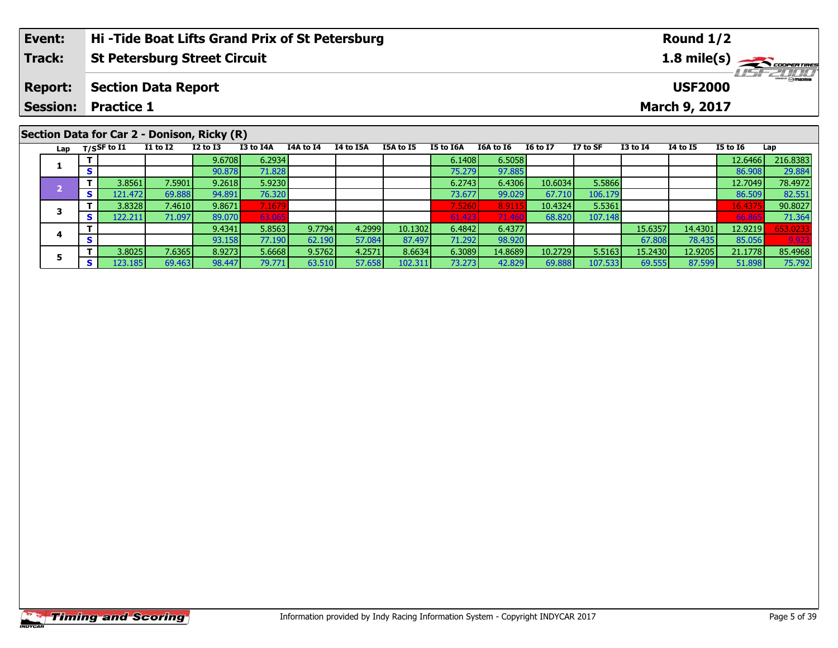| Event:                                         | Hi-Tide Boat Lifts Grand Prix of St Petersburg | Round $1/2$                        |  |  |  |  |  |  |  |
|------------------------------------------------|------------------------------------------------|------------------------------------|--|--|--|--|--|--|--|
| Track:                                         | St Petersburg Street Circuit                   |                                    |  |  |  |  |  |  |  |
| <b>Report:</b>                                 | Section Data Report                            | <b>LIST 2000</b><br><b>USF2000</b> |  |  |  |  |  |  |  |
|                                                | <b>Session: Practice 1</b>                     | <b>March 9, 2017</b>               |  |  |  |  |  |  |  |
| $\overline{a}$ is a contract of $\overline{a}$ |                                                |                                    |  |  |  |  |  |  |  |

| Section Data for Car 2 - Donison, Ricky (R) |            |               |                 |                 |           |           |                  |           |           |           |                 |          |              |          |                 |          |
|---------------------------------------------|------------|---------------|-----------------|-----------------|-----------|-----------|------------------|-----------|-----------|-----------|-----------------|----------|--------------|----------|-----------------|----------|
| Lap                                         |            | T/SSF to $I1$ | <b>I1 to I2</b> | <b>I2 to I3</b> | I3 to I4A | I4A to I4 | <b>I4 to I5A</b> | I5A to I5 | I5 to I6A | I6A to I6 | <b>16 to 17</b> | I7 to SF | $I3$ to $I4$ | 14 to 15 | <b>I5 to I6</b> | Lap      |
|                                             |            |               |                 | 9.6708          | 6.2934    |           |                  |           | 6.1408    | 6.5058    |                 |          |              |          | 12.6466         | 216.8383 |
|                                             | S          |               |                 | 90.878          | 71.828    |           |                  |           | 75.279    | 97.885    |                 |          |              |          | 86.908          | 29.884   |
|                                             |            | 3.8561        | 7.5901          | 9.2618          | 5.9230    |           |                  |           | 6.2743    | 6.4306    | 10.6034         | 5.5866   |              |          | 12.7049         | 78.4972  |
|                                             | <b>S</b>   | 121.472       | 69.888          | 94.891          | 76.320    |           |                  |           | 73.677    | 99.029    | 67.710          | 106.179  |              |          | 86.509          | 82.551   |
|                                             |            | 3.8328        | 7.4610          | 9.8671          | 7.1679    |           |                  |           | 7.5260    | 8.9115    | 10.4324         | 5.5361   |              |          | 16.4375         | 90.8027  |
|                                             | S.         | 122.211       | 71.097          | 89.070          | 63.065    |           |                  |           | 61.423    | 71.460    | 68.820          | 107.148  |              |          | 66.86           | 71.364   |
|                                             |            |               |                 | 9.4341          | 5.8563    | 9.7794    | 4.2999           | 10.1302   | 6.4842    | 6.4377    |                 |          | 15.6357      | 14.4301  | 12.9219         | 653.0233 |
|                                             | $\epsilon$ |               |                 | 93.158          | 77.190    | 62.190    | 57.084           | 87.497    | 71.292    | 98.920    |                 |          | 67.808       | 78.435   | 85.056          | 9.923    |
|                                             |            | 3.8025        | 7.6365          | 8.9273          | 5.6668    | 9.5762    | 4.2571           | 8.6634    | 6.3089    | 14.8689   | 10.2729         | 5.5163   | 15.2430      | 12.9205  | 21.1778         | 85.4968  |
|                                             | S.         | 123.1851      | 69.463          | 98.447          | 79.771    | 63.510    | 57.658           | 102.311   | 73.273    | 42.829    | 69.888          | 107.533  | 69.555       | 87.599   | 51.898          | 75.792   |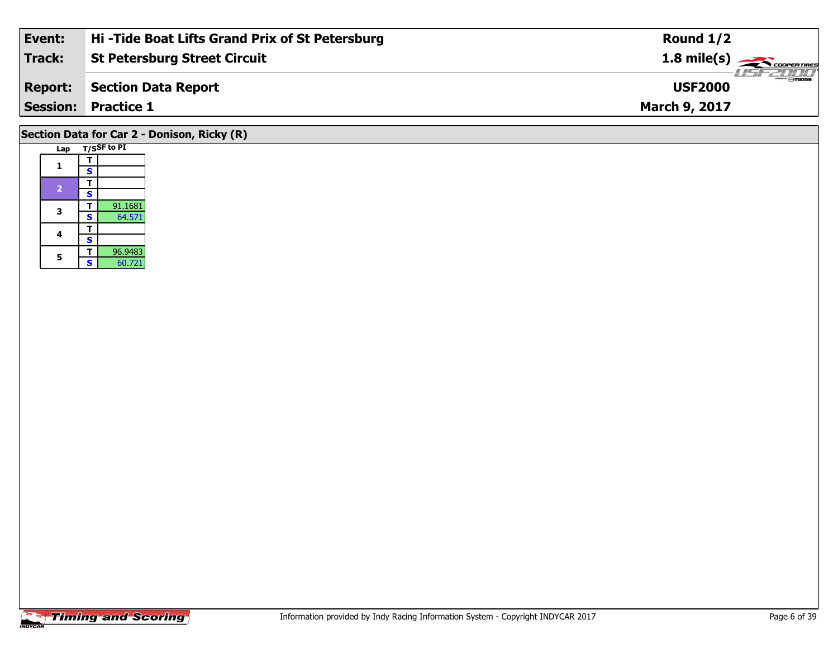| Event:  | Hi-Tide Boat Lifts Grand Prix of St Petersburg | Round $1/2$                              |
|---------|------------------------------------------------|------------------------------------------|
| Track:  | St Petersburg Street Circuit                   | $1.8 \text{ mile(s)}$                    |
| Report: | Section Data Report                            | $\frac{1}{2}$ o maxima<br><b>USF2000</b> |
|         | <b>Session: Practice 1</b>                     | <b>March 9, 2017</b>                     |
|         |                                                |                                          |

# **Section Data for Car 2 - Donison, Ricky (R)**

| T/SSF to PI<br>Lap |   |         |  |  |  |  |  |  |
|--------------------|---|---------|--|--|--|--|--|--|
| 1                  | Τ |         |  |  |  |  |  |  |
|                    | S |         |  |  |  |  |  |  |
| $\overline{2}$     | т |         |  |  |  |  |  |  |
|                    | S |         |  |  |  |  |  |  |
| 3                  | т | 91.1681 |  |  |  |  |  |  |
|                    | S | 64.571  |  |  |  |  |  |  |
| 4                  | т |         |  |  |  |  |  |  |
|                    | S |         |  |  |  |  |  |  |
| 5                  | т | 96.9483 |  |  |  |  |  |  |
|                    | S | 60.721  |  |  |  |  |  |  |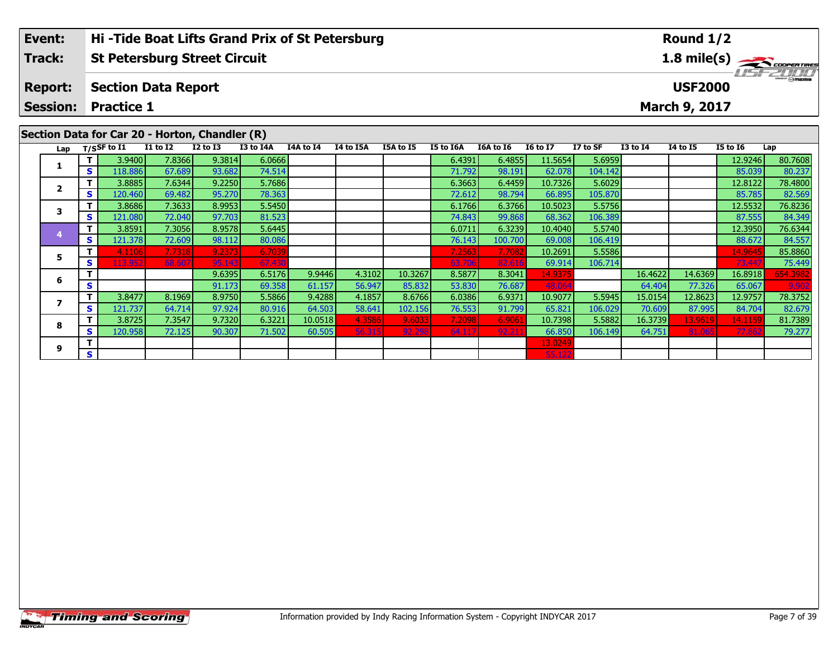|                                      | Event: |                       |                            |                                     | Hi-Tide Boat Lifts Grand Prix of St Petersburg |             |           |                  |           |                  |           |                 |                                           |                 | Round $1/2$ |                 |         |
|--------------------------------------|--------|-----------------------|----------------------------|-------------------------------------|------------------------------------------------|-------------|-----------|------------------|-----------|------------------|-----------|-----------------|-------------------------------------------|-----------------|-------------|-----------------|---------|
|                                      | Track: |                       |                            | <b>St Petersburg Street Circuit</b> |                                                | 1.8 mile(s) |           |                  |           |                  |           |                 |                                           |                 |             |                 |         |
| <b>Report:</b>                       |        |                       | <b>Section Data Report</b> |                                     |                                                |             |           |                  |           |                  |           |                 | $\frac{2\pi}{2}$ omazoa<br><b>USF2000</b> |                 |             |                 |         |
| <b>Session:</b><br><b>Practice 1</b> |        |                       |                            |                                     | March 9, 2017                                  |             |           |                  |           |                  |           |                 |                                           |                 |             |                 |         |
|                                      |        |                       |                            |                                     | Section Data for Car 20 - Horton, Chandler (R) |             |           |                  |           |                  |           |                 |                                           |                 |             |                 |         |
|                                      | Lap    | $_{\rm T/SS}$ F to I1 |                            | $I1$ to $I2$                        | <b>I2 to I3</b>                                | I3 to I4A   | I4A to I4 | <b>I4 to I5A</b> | I5A to I5 | <b>I5 to I6A</b> | I6A to I6 | <b>I6 to I7</b> | I7 to SF                                  | <b>I3 to I4</b> | 14 to 15    | <b>I5 to 16</b> | Lap     |
|                                      |        |                       | 3.9400                     | 7.8366                              | 9.3814                                         | 6.0666      |           |                  |           | 6.4391           | 6.4855    | 11.5654         | 5.6959                                    |                 |             | 12.9246         | 80.7608 |
|                                      |        | S                     | 118.886                    | 67.689                              | 93.682                                         | 74.514      |           |                  |           | 71.792           | 98.191    | 62.078          | 104.142                                   |                 |             | 85.039          | 80.237  |

**<sup>T</sup>** 3.8885 7.6344 9.2250 5.7686 6.3663 6.4459 10.7326 5.6029 12.8122 78.4800 **<sup>S</sup>** 120.460 69.482 95.270 78.363 72.612 98.794 66.895 105.870 85.785 82.569

**<sup>T</sup>** 3.8686 7.3633 8.9953 5.5450 6.1766 6.3766 10.5023 5.5756 12.5532 76.8236 **<sup>S</sup>** 121.080 72.040 97.703 81.523 74.843 99.868 68.362 106.389 87.555 84.349

**<sup>T</sup>** 3.8591 7.3056 8.9578 5.6445 6.0711 6.3239 10.4040 5.5740 12.3950 76.6344 **<sup>S</sup>** 121.378 72.609 98.112 80.086 76.143 100.700 69.008 106.419 88.672 84.557

**<sup>T</sup>** 4.1106 7.7318 9.2373 6.7039 7.2563 7.7082 10.2691 5.5586 14.9645 85.8860 **<sup>S</sup>** 113.952 68.607 95.143 67.430 63.706 82.616 69.914 106.714 73.447 75.449

**<sup>T</sup>** 9.6395 6.5176 9.9446 4.3102 10.3267 8.5877 8.3041 14.9375 16.4622 14.6369 16.8918 654.3982 **<sup>S</sup>** 91.173 69.358 61.157 56.947 85.832 53.830 76.687 48.064 64.404 77.326 65.067 9.902

7 | T | 3.8477| 8.1969| 8.9750| 5.5866| 9.4288| 4.1857| 8.6766| 6.0386| 6.9371| 10.9077| 5.5945| 15.0154| 12.8623| 12.9757| 78.3752<br>7 | S | 121.737| 64.714| 97.924| 80.916| 64.503| 58.641| 102.156| 76.553| 91.799| 65.821|

**<sup>T</sup>** 3.8725 7.3547 9.7320 6.3221 10.0518 4.3586 9.6033 7.2098 6.9061 10.7398 5.5882 16.3739 13.9619 14.1159 81.7389 **<sup>S</sup>** 120.958 72.125 90.307 71.502 60.505 56.315 92.298 64.117 92.211 66.850 106.149 64.751 81.065 77.862 79.277

**<sup>T</sup>** 13.0249 **<sup>S</sup>** 55.122

|                | <b>Timing and Scoring</b> |
|----------------|---------------------------|
| <b>INDYCAR</b> |                           |

**2**

**3**

**4**

**5**

**6**

**7**

**8**

**9**

82.569

84.557

75.449

82.679

79.277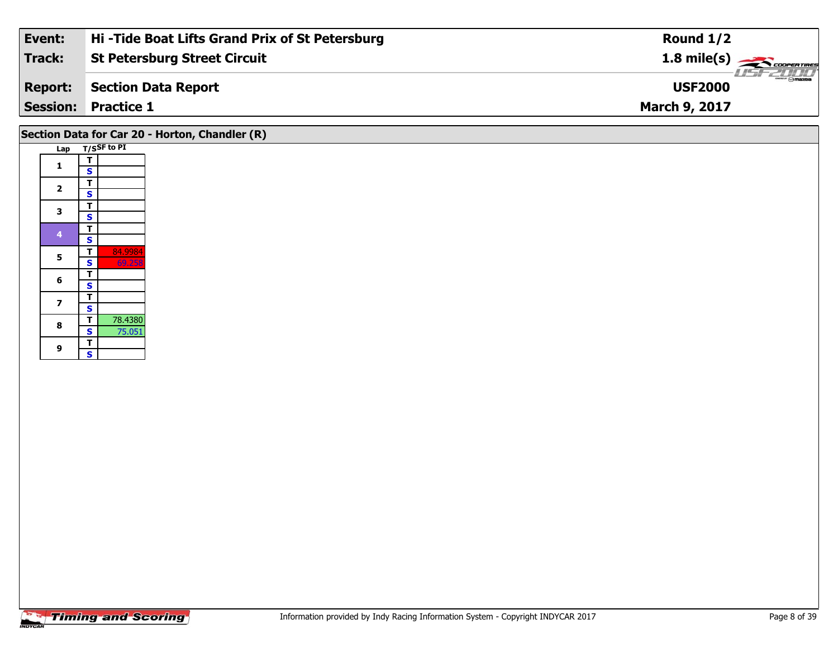| Event:         | Hi-Tide Boat Lifts Grand Prix of St Petersburg | Round $1/2$                                              |
|----------------|------------------------------------------------|----------------------------------------------------------|
| Track:         | <b>St Petersburg Street Circuit</b>            | $1.8 \text{ mile(s)}$                                    |
| <b>Report:</b> | Section Data Report                            | $\overline{\phantom{m}}$ $\odot$ mazna<br><b>USF2000</b> |
|                | <b>Session: Practice 1</b>                     | <b>March 9, 2017</b>                                     |

# **Section Data for Car 20 - Horton, Chandler (R)**

| Lap |                         | T/SSF to PI |
|-----|-------------------------|-------------|
| 1   | т                       |             |
|     | S                       |             |
| 2   | Т                       |             |
|     | S                       |             |
| 3   | T                       |             |
|     | $\overline{\mathbf{s}}$ |             |
| 4   | Ŧ                       |             |
|     | S                       |             |
| 5   | T                       | 84.9984     |
|     | S                       | 69.258      |
| 6   | T                       |             |
|     | S                       |             |
| 7   | Ŧ                       |             |
|     | S                       |             |
| 8   | T                       | 78.4380     |
|     | S                       | 75.051      |
| 9   | T                       |             |
|     | Š                       |             |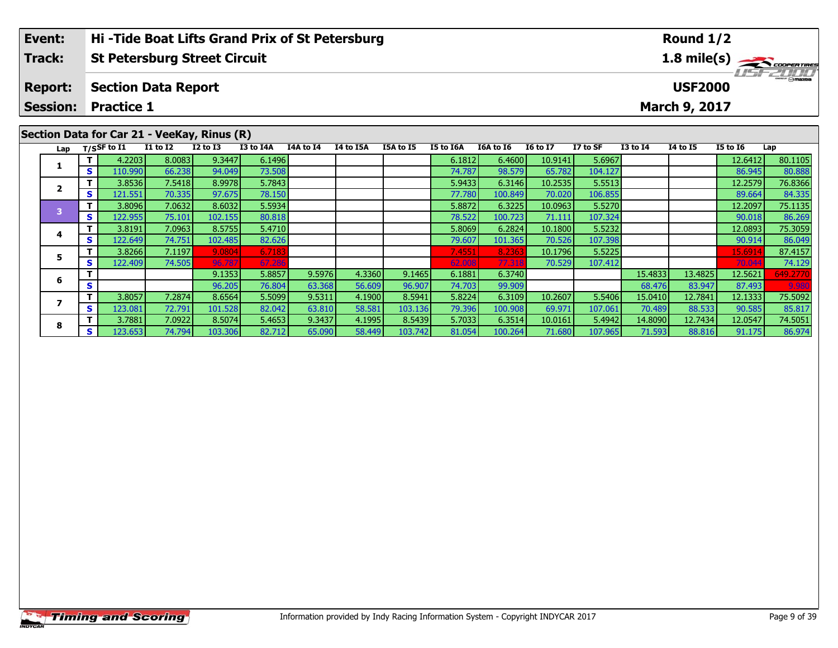| Event:                                      | Hi-Tide Boat Lifts Grand Prix of St Petersburg | Round $1/2$                        |  |  |  |  |  |  |
|---------------------------------------------|------------------------------------------------|------------------------------------|--|--|--|--|--|--|
| <b>Track:</b>                               | <b>St Petersburg Street Circuit</b>            | $1.8 \text{ mile(s)}$              |  |  |  |  |  |  |
| <b>Report:</b>                              | Section Data Report                            | <b>LISF 2000</b><br><b>USF2000</b> |  |  |  |  |  |  |
|                                             | <b>Session: Practice 1</b>                     | <b>March 9, 2017</b>               |  |  |  |  |  |  |
| Section Data for Car 21 - VeeKay, Rinus (R) |                                                |                                    |  |  |  |  |  |  |

| $\frac{1}{100}$ |    |                   |                 |              |                  |           |           |           |           |           |                 |          |                 |          |          |          |
|-----------------|----|-------------------|-----------------|--------------|------------------|-----------|-----------|-----------|-----------|-----------|-----------------|----------|-----------------|----------|----------|----------|
|                 |    | Lap $T/SSF$ to I1 | <b>I1 to I2</b> | $I2$ to $I3$ | <b>I3 to I4A</b> | I4A to I4 | I4 to I5A | I5A to I5 | I5 to I6A | I6A to I6 | <b>16 to 17</b> | I7 to SF | <b>I3 to I4</b> | 14 to 15 | I5 to I6 | Lap      |
|                 |    | 4.2203            | 8.0083          | 9.3447       | 6.1496           |           |           |           | 6.1812    | 6.4600    | 10.9141         | 5.6967   |                 |          | 12.6412  | 80.1105  |
|                 | S  | 110.990           | 66.238          | 94.049       | 73.508           |           |           |           | 74.787    | 98.579    | 65.782          | 104.127  |                 |          | 86.945   | 80.888   |
|                 | Τ. | 3.8536            | 7.5418          | 8.9978       | 5.7843           |           |           |           | 5.9433    | 6.3146    | 10.2535         | 5.5513   |                 |          | 12.2579  | 76.8366  |
|                 | S  | 121.551           | 70.335          | 97.675       | 78.150           |           |           |           | 77.780    | 100.849   | 70.020          | 106.855  |                 |          | 89.664   | 84.335   |
| з               | T. | 3.8096            | 7.0632          | 8.6032       | 5.5934           |           |           |           | 5.8872    | 6.3225    | 10.0963         | 5.5270   |                 |          | 12.2097  | 75.1135  |
|                 | S  | 122.955           | 75.101          | 102.155      | 80.818           |           |           |           | 78.522    | 100.723   | 71.111          | 107.324  |                 |          | 90.018   | 86.269   |
| 4               | T. | 3.8191            | 7.0963          | 8.5755       | 5.4710           |           |           |           | 5.8069    | 6.2824    | 10.1800         | 5.5232   |                 |          | 12.0893  | 75.3059  |
|                 | S. | 122.649           | 74.751          | 102.485      | 82.626           |           |           |           | 79.607    | 101.365   | 70.526          | 107.398  |                 |          | 90.914   | 86.049   |
| 5               |    | 3.8266            | 7.1197          | 9.0804       | 6.7183           |           |           |           | 7.4551    | 8.2363    | 10.1796         | 5.5225   |                 |          | 15.691   | 87.4157  |
|                 | s  | 122.409           | 74.505          | 96.787       | 67.286           |           |           |           | 62.008    | 77.318    | 70.529          | 107.412  |                 |          | 70.04    | 74.129   |
| 6               | т  |                   |                 | 9.1353       | 5.8857           | 9.5976    | 4.3360    | 9.1465    | 6.1881    | 6.3740    |                 |          | 15.4833         | 13.4825  | 12.5621  | 549.2770 |
|                 | S  |                   |                 | 96.205       | 76.804           | 63.368    | 56.609    | 96.907    | 74.703    | 99.909    |                 |          | 68.476          | 83.947   | 87.493   | 9.980    |
|                 | т  | 3.8057            | 7.2874          | 8.6564       | 5.5099           | 9.5311    | 4.1900    | 8.5941    | 5.8224    | 6.3109    | 10.2607         | 5.5406   | 15.0410         | 12.7841  | 12.1333  | 75.5092  |
|                 | S  | 123.081           | 72.791          | 101.528      | 82.042           | 63.810    | 58.581    | 103.136   | 79.396    | 100.908   | 69.971          | 107.061  | 70.489          | 88.533   | 90.585   | 85.817   |
| 8               | T. | 3.7881            | 7.0922          | 8.5074       | 5.4653           | 9.3437    | 4.1995    | 8.5439    | 5.7033    | 6.3514    | 10.0161         | 5.4942   | 14.8090         | 12.7434  | 12.0547  | 74.5051  |
|                 | S. | 123.653           | 74.794          | 103.306      | 82.712           | 65.090    | 58.449    | 103.742   | 81.054    | 100.264   | 71.680          | 107.965  | 71.593          | 88.816   | 91.175   | 86.974   |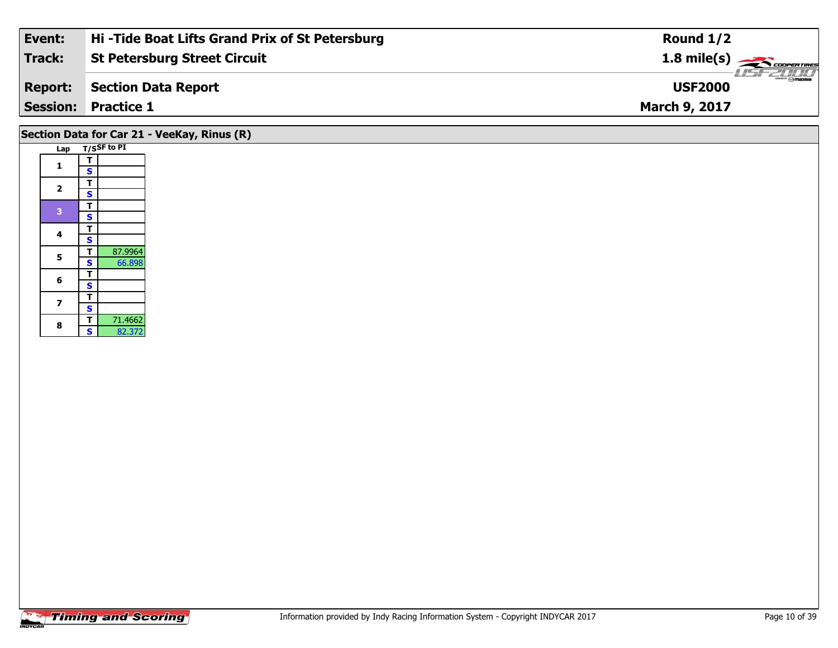| Event:         | Hi-Tide Boat Lifts Grand Prix of St Petersburg | Round $1/2$                     |
|----------------|------------------------------------------------|---------------------------------|
| Track:         | <b>St Petersburg Street Circuit</b>            | $1.8 \text{ mile(s)}$           |
| <b>Report:</b> | Section Data Report                            | <b>Omazoa</b><br><b>USF2000</b> |
|                | <b>Session: Practice 1</b>                     | <b>March 9, 2017</b>            |
|                |                                                |                                 |

# **Section Data for Car 21 - VeeKay, Rinus (R)**

|  | Lap            |                         | T/SSF to PI |
|--|----------------|-------------------------|-------------|
|  | 1              | т                       |             |
|  |                | S                       |             |
|  | $\overline{2}$ | т                       |             |
|  |                | S                       |             |
|  | 3              | T                       |             |
|  |                | $\overline{\mathbf{s}}$ |             |
|  | 4              | Т                       |             |
|  |                | S                       |             |
|  | 5              | т                       | 87.9964     |
|  |                | $\overline{\mathbf{s}}$ | 66.898      |
|  | 6              | т                       |             |
|  |                | S                       |             |
|  | 7              | T                       |             |
|  |                | S                       |             |
|  | 8              | т                       | 71.4662     |
|  |                | S                       | 82.372      |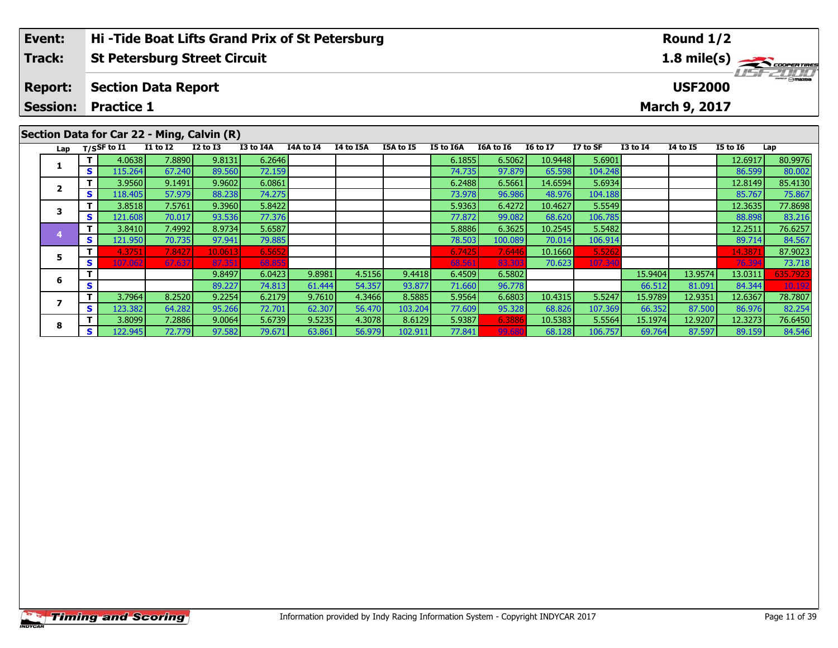| Event:         | <b>Hi-Tide Boat Lifts Grand Prix of St Petersburg</b> | Round $1/2$                        |  |  |  |  |  |  |  |  |
|----------------|-------------------------------------------------------|------------------------------------|--|--|--|--|--|--|--|--|
| <b>Track:</b>  | St Petersburg Street Circuit                          | $1.8 \text{ mile(s)}$              |  |  |  |  |  |  |  |  |
| <b>Report:</b> | Section Data Report                                   | <b>LISFZONIA</b><br><b>USF2000</b> |  |  |  |  |  |  |  |  |
|                | <b>Session: Practice 1</b>                            | <b>March 9, 2017</b>               |  |  |  |  |  |  |  |  |
|                | Section Data for Car 22 - Ming. Calvin (R)            |                                    |  |  |  |  |  |  |  |  |

| Scensh Data IVI cal 22<br>THING YOU'LL LIVE |              |                |                 |              |                  |           |                  |           |           |           |                 |          |                 |          |          |          |
|---------------------------------------------|--------------|----------------|-----------------|--------------|------------------|-----------|------------------|-----------|-----------|-----------|-----------------|----------|-----------------|----------|----------|----------|
| Lap                                         |              | $T/S$ SF to I1 | <b>I1 to I2</b> | $I2$ to $I3$ | <b>I3 to I4A</b> | I4A to I4 | <b>I4 to I5A</b> | I5A to I5 | I5 to I6A | I6A to I6 | <b>16 to 17</b> | I7 to SF | <b>I3 to I4</b> | 14 to 15 | I5 to I6 | Lap      |
|                                             |              | 4.0638         | 7.8890          | 9.8131       | 6.2646           |           |                  |           | 6.1855    | 6.5062    | 10.9448         | 5.6901   |                 |          | 12.6917  | 80.9976  |
|                                             | $\mathbf{s}$ | 115.264        | 67.240          | 89.560       | 72.159           |           |                  |           | 74.735    | 97.879    | 65.598          | 104.248  |                 |          | 86.599   | 80.002   |
|                                             |              | 3.9560         | 9.1491          | 9.9602       | 6.0861           |           |                  |           | 6.2488    | 6.5661    | 14.6594         | 5.6934   |                 |          | 12.8149  | 85.4130  |
|                                             | $\mathbf{s}$ | 118.405        | 57.979          | 88.238       | 74.275           |           |                  |           | 73.978    | 96.986    | 48.976          | 104.188  |                 |          | 85.767   | 75.867   |
|                                             | Τ.           | 3.8518         | 7.5761          | 9.3960       | 5.8422           |           |                  |           | 5.9363    | 6.4272    | 10.4627         | 5.5549   |                 |          | 12.3635  | 77.8698  |
|                                             | S.           | 121.608        | 70.017          | 93.536       | 77.376           |           |                  |           | 77.872    | 99.082    | 68.620          | 106.785  |                 |          | 88.898   | 83.216   |
|                                             | Τ.           | 3.8410         | 7.4992          | 8.9734       | 5.6587           |           |                  |           | 5.8886    | 6.3625    | 10.2545         | 5.5482   |                 |          | 12.2511  | 76.6257  |
|                                             | S I          | 121.950        | 70.735          | 97.941       | 79.885           |           |                  |           | 78.503    | 100.089   | 70.014          | 106.914  |                 |          | 89.714   | 84.567   |
| 5                                           | т            | 4.3751         | 7.8427          | 10.061       | 6.5652           |           |                  |           | 6.7425    | 7.6446    | 10.1660         | 5.5262   |                 |          | 14.387   | 87.9023  |
|                                             | S            | 107.062        | 67.637          | 87.35        | 68,855           |           |                  |           | 68.561    | 83.30     | 70.623          | 107.340  |                 |          | 76.39    | 73.718   |
| 6                                           | т            |                |                 | 9.8497       | 6.0423           | 9.8981    | 4.5156           | 9.4418    | 6.4509    | 6.5802    |                 |          | 15.9404         | 13.9574  | 13.0311  | 635.7923 |
|                                             | S            |                |                 | 89.227       | 74.813           | 61.444    | 54.357           | 93.877    | 71.660    | 96.778    |                 |          | 66.512          | 81.091   | 84.344   | 10.192   |
|                                             | T.           | 3.7964         | 8.2520          | 9.2254       | 6.2179           | 9.7610    | 4.3466           | 8.5885    | 5.9564    | 6.6803    | 10.4315         | 5.5247   | 15.9789         | 12.9351  | 12.6367  | 78.7807  |
|                                             | $\mathbf{s}$ | 123.382        | 64.282          | 95.266       | 72.701           | 62.307    | 56.470           | 103.204   | 77.609    | 95.328    | 68.826          | 107.369  | 66.352          | 87.500   | 86.976   | 82.254   |
| 8                                           | Τ.           | 3.8099         | 7.2886          | 9.0064       | 5.6739           | 9.5235    | 4.3078           | 8.6129    | 5.9387    | 6.388     | 10.5383         | 5.5564   | 15.1974         | 12.9207  | 12.3273  | 76.6450  |
|                                             | s l          | 122.945        | 72.779          | 97.582       | 79.671           | 63.861    | 56.979           | 102.911   | 77.841    | 99.680    | 68.128          | 106.757  | 69.764          | 87.597   | 89.159   | 84.546   |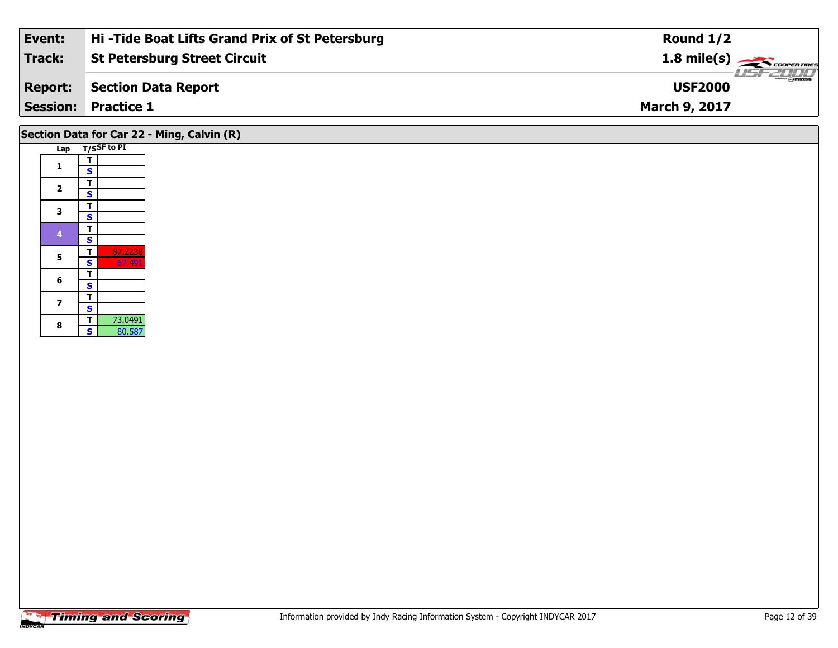| Event:         | Hi-Tide Boat Lifts Grand Prix of St Petersburg | Round $1/2$                     |
|----------------|------------------------------------------------|---------------------------------|
| Track:         | <b>St Petersburg Street Circuit</b>            | $1.8 \text{ mile(s)}$           |
| <b>Report:</b> | Section Data Report                            | <b>Omazoa</b><br><b>USF2000</b> |
|                | <b>Session: Practice 1</b>                     | <b>March 9, 2017</b>            |
|                |                                                |                                 |

# **Section Data for Car 22 - Ming, Calvin (R)**

|  | Lap            | T/SSF to PI             |         |  |  |  |
|--|----------------|-------------------------|---------|--|--|--|
|  |                |                         |         |  |  |  |
|  | 1              | т                       |         |  |  |  |
|  |                | S                       |         |  |  |  |
|  | $\overline{2}$ | т                       |         |  |  |  |
|  |                | S                       |         |  |  |  |
|  | 3              | T                       |         |  |  |  |
|  |                | s                       |         |  |  |  |
|  | 4              | T                       |         |  |  |  |
|  |                | S                       |         |  |  |  |
|  | 5              | т                       | 87.2238 |  |  |  |
|  |                | $\overline{\mathbf{s}}$ | 67.491  |  |  |  |
|  | 6              | T                       |         |  |  |  |
|  |                | S                       |         |  |  |  |
|  | 7              | T                       |         |  |  |  |
|  |                | S                       |         |  |  |  |
|  | 8              | Ť                       | 73.0491 |  |  |  |
|  |                | Ś                       | 80.587  |  |  |  |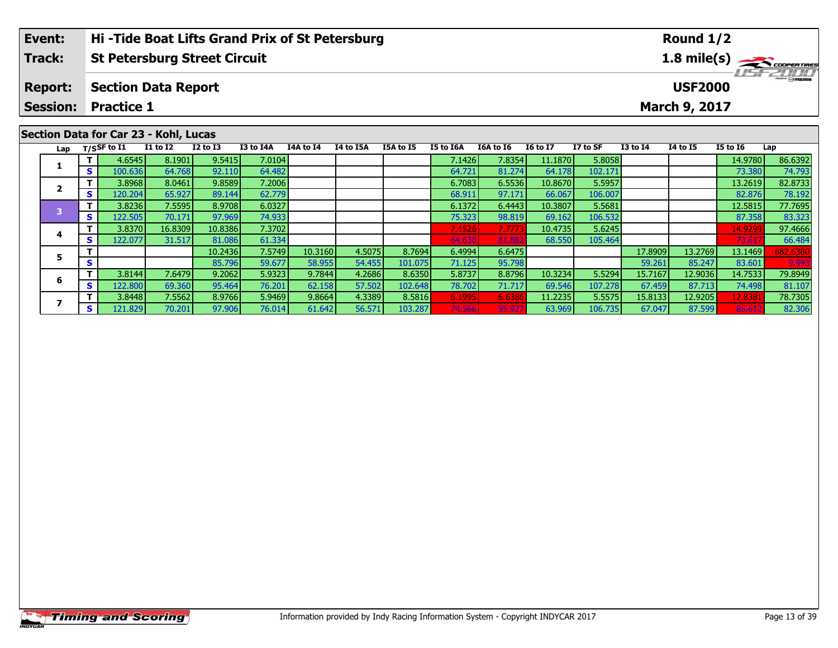| Event:         | <b>Hi-Tide Boat Lifts Grand Prix of St Petersburg</b> | Round $1/2$                                    |
|----------------|-------------------------------------------------------|------------------------------------------------|
| <b>Track:</b>  | St Petersburg Street Circuit                          | $1.8$ mile(s) $\frac{1}{\sqrt{2}}$ coorer Time |
| <b>Report:</b> | Section Data Report                                   | <b>Omazoa</b><br><b>USF2000</b>                |
|                | <b>Session: Practice 1</b>                            | <b>March 9, 2017</b>                           |
|                |                                                       |                                                |

| Section Data for Car 23 - Kohl, Lucas |  |  |  |  |
|---------------------------------------|--|--|--|--|
|---------------------------------------|--|--|--|--|

| Lap |    | T/SSF to I1 | <b>I1 to I2</b> | $I2$ to $I3$ | <b>I3 to I4A</b> | <b>I4A to I4</b> | I4 to I5A | I5A to I5 | <b>I5 to I6A</b> | I6A to I6 | <b>16 to 17</b> | I7 to SF | $I3$ to $I4$ | 14 to 15 | I5 to 16 | Lap      |
|-----|----|-------------|-----------------|--------------|------------------|------------------|-----------|-----------|------------------|-----------|-----------------|----------|--------------|----------|----------|----------|
|     |    | 4.6545      | 8.1901          | 9.5415       | 7.0104           |                  |           |           | 7.1426           | 7.8354    | 11.1870         | 5.8058   |              |          | 14.9780  | 86.6392  |
|     | S. | 100.636     | 64.768          | 92.110       | 64.482           |                  |           |           | 64.721           | 81.274    | 64.178          | 102.171  |              |          | 73.380   | 74.793   |
|     |    | 3.8968      | 8.0461          | 9.8589       | 7.2006           |                  |           |           | 6.7083           | 6.5536    | 10.8670         | 5.5957   |              |          | 13.2619  | 82.8733  |
|     | S. | 120.204     | 65.927          | 89.144       | 62.779           |                  |           |           | 68.911           | 97.171    | 66.067          | 106.007  |              |          | 82.876   | 78.192   |
|     |    | 3.8236      | 7.5595          | 8.9708       | 6.0327           |                  |           |           | 6.1372           | 6.4443    | 10.3807         | 5.5681   |              |          | 12.5815  | 77.7695  |
|     | S. | 122.505     | 70.171          | 97.969       | 74.933           |                  |           |           | 75.323           | 98.819    | 69.162          | 106.532  |              |          | 87.358   | 83.323   |
|     |    | 3.8370      | 16.8309         | 10.8386      | 7.3702           |                  |           |           | 7.1526           | 7.7773    | 10.4735         | 5.6245   |              |          | 14.9299  | 97.4666  |
|     | S. | 122.077     | 31.517          | 81.086       | 61.334           |                  |           |           | 64.630           | 81.882    | 68.550          | 105.464  |              |          | 73.61    | 66.484   |
|     |    |             |                 | 10.2436      | 7.5749           | 10.3160          | 4.5075    | 8.7694    | 6.4994           | 6.6475    |                 |          | 17.8909      | 13.2769  | 13.1469  | 682.6380 |
|     | S  |             |                 | 85.796       | 59.677           | 58.955           | 54.455    | 101.075   | 71.125           | 95.798    |                 |          | 59.261       | 85.247   | 83.601   | 9.493    |
|     |    | 3.8144      | 7.6479          | 9.2062       | 5.9323           | 9.7844           | 4.2686    | 8.6350    | 5.8737           | 8.8796    | 10.3234         | 5.5294   | 15.7167      | 12.9036  | 14.7533  | 79.8949  |
|     | S. | 122,800     | 69.360          | 95.464       | 76.201           | 62.158           | 57.502    | 102.648   | 78.702           | 71.717    | 69.546          | 107.278  | 67.459       | 87.713   | 74.498   | 81.107   |
|     |    | 3.8448      | 7.5562          | 8.9766       | 5.9469           | 9.8664           | 4.3389    | 8.5816    | 6.1995           | 6.6386    | 11.2235         | 5.5575   | 15.8133      | 12.9205  | 12.8381  | 78.7305  |
|     | S. | 121.829     | 70.201          | 97.906       | 76.014           | 61.642           | 56.571    | 103.287   | 74.566           | 95.927    | 63.969          | 106.735  | 67.047       | 87.599   | 85.61    | 82.306   |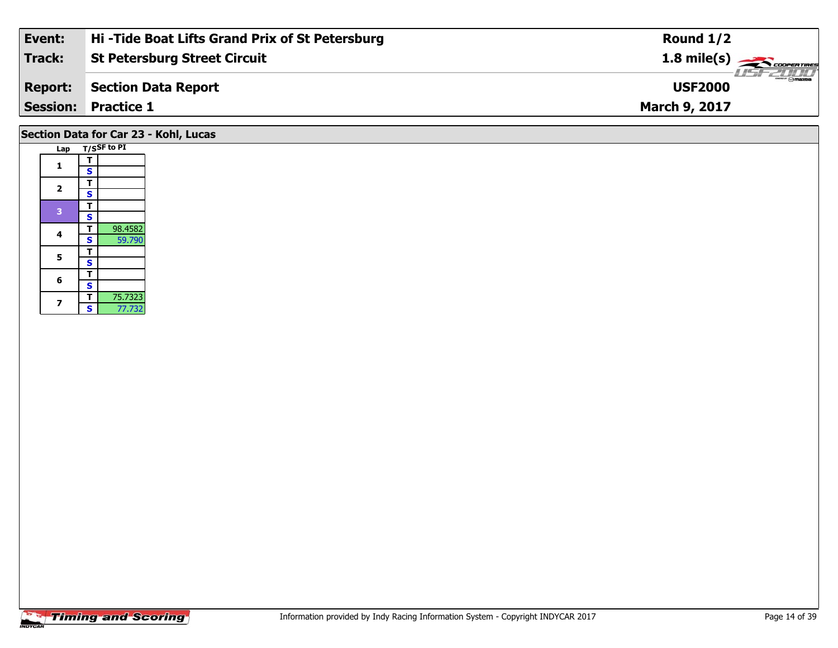| Event:          | Hi-Tide Boat Lifts Grand Prix of St Petersburg | Round $1/2$                               |
|-----------------|------------------------------------------------|-------------------------------------------|
| <b>Track:</b>   | <b>St Petersburg Street Circuit</b>            | $1.8 \text{ mile(s)}$                     |
| <b>Report:</b>  | Section Data Report                            | $\frac{2\pi}{2}$ omazoa<br><b>USF2000</b> |
| <b>Session:</b> | <b>Practice 1</b>                              | <b>March 9, 2017</b>                      |
|                 |                                                |                                           |

# **Section Data for Car 23 - Kohl, Lucas**

|  | Lap            |                    | T/SSF to PI |
|--|----------------|--------------------|-------------|
|  | 1              | т                  |             |
|  |                | S                  |             |
|  | $\overline{2}$ | т                  |             |
|  |                | S                  |             |
|  | 3              | т                  |             |
|  |                | S                  |             |
|  | 4              | т                  | 98.4582     |
|  |                | S                  | 59.790      |
|  | 5              | T                  |             |
|  |                | $\dot{\mathbf{s}}$ |             |
|  | 6              | T                  |             |
|  |                | S                  |             |
|  | 7              | т                  | 75.7323     |
|  |                | S                  | 77.732      |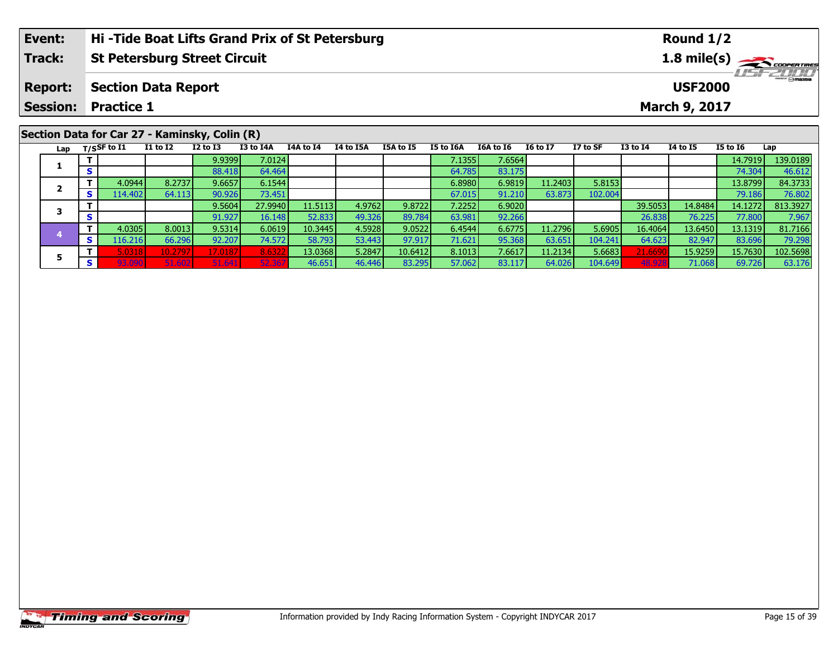| Event:         | Hi-Tide Boat Lifts Grand Prix of St Petersburg | Round $1/2$                                                                        |  |  |  |  |  |
|----------------|------------------------------------------------|------------------------------------------------------------------------------------|--|--|--|--|--|
| Track:         | <b>St Petersburg Street Circuit</b>            | $1.8$ mile(s) $\frac{1.8 \text{ m} \cdot \text{m}}{6.00 \text{ m} \cdot \text{m}}$ |  |  |  |  |  |
| <b>Report:</b> | Section Data Report                            | $\sqrt{m}$<br><b>USF2000</b>                                                       |  |  |  |  |  |
|                | <b>Session: Practice 1</b>                     | March 9, 2017                                                                      |  |  |  |  |  |
| .              |                                                |                                                                                    |  |  |  |  |  |

#### Lap T/SSF to I1 I1 to I2 I2 to I3 I3 to I4A 14A to I4 I4 to I5A I5A to I5 I5 to I6A I6A to I6 I6 to I7 I7 to SF I3 to I4 I4 to I5 I5 to I6 Lap **1T** 7 2.9399 7.0124 12.1355 7.1355 7.6564 14.7919 139.0189<br>T S 88.418 64.464 64.464 64.785 83.175 12.1355 83.175 12.14.304 46.612 **2 <sup>T</sup>** 4.0944 8.2737 9.6657 6.1544 6.8980 6.9819 11.2403 5.8153 13.8799 84.3733 **<sup>S</sup>** 114.402 64.113 90.926 73.451 67.015 91.210 63.873 102.004 79.186 76.80276.802 **3 <sup>T</sup>** 9.5604 27.9940 11.5113 4.9762 9.8722 7.2252 6.9020 39.5053 14.8484 14.1272 813.3927 **<sup>S</sup>** 91.927 16.148 52.833 49.326 89.784 63.981 92.266 26.838 76.225 77.800 7.967**4 <sup>T</sup>** 4.0305 8.0013 9.5314 6.0619 10.3445 4.5928 9.0522 6.4544 6.6775 11.2796 5.6905 16.4064 13.6450 13.1319 81.7166 **<sup>S</sup>** 116.216 66.296 92.207 74.572 58.793 53.443 97.917 71.621 95.368 63.651 104.241 64.623 82.947 83.696 79.29879.29 **5**5 1 5.0318| 10.2797| 17.0187| 8.6322 13.0368| 5.2847| 10.6412| 8.1013| 7.6617| 11.2134| 5.6683| 21.6690| 15.9259| 15.7630| 102.5698<br>| S 93.090| 51.602| 51.641| 52.367| 46.651| 46.446| 83.295| 57.062| 83.117| 64.026| 104.64 **Section Data for Car 27 - Kaminsky, Colin (R)**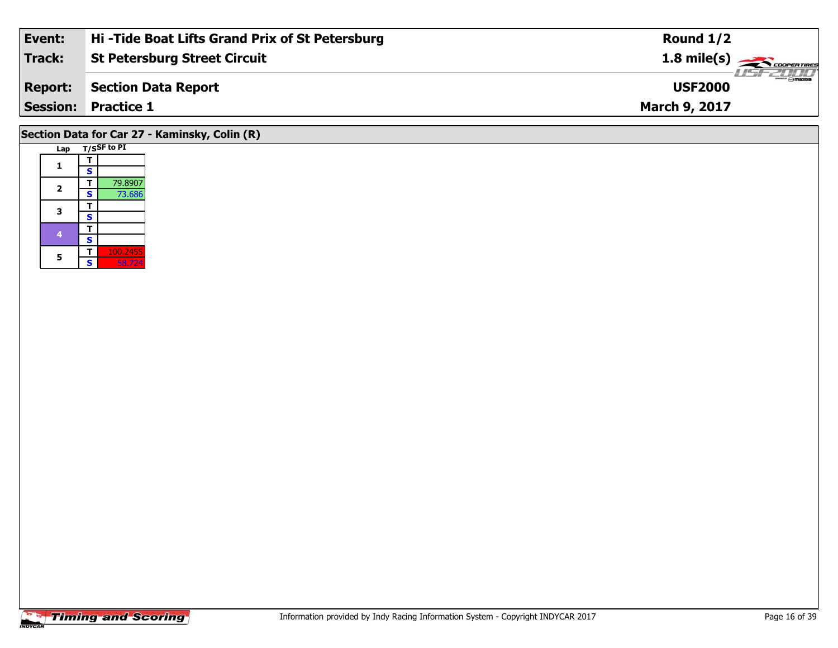| Event:         | Hi-Tide Boat Lifts Grand Prix of St Petersburg | Round $1/2$                     |
|----------------|------------------------------------------------|---------------------------------|
| Track:         | <b>St Petersburg Street Circuit</b>            | $1.8 \text{ mile(s)}$           |
| <b>Report:</b> | Section Data Report                            | <b>Omazoa</b><br><b>USF2000</b> |
|                | <b>Session: Practice 1</b>                     | <b>March 9, 2017</b>            |
|                |                                                |                                 |

# **Section Data for Car 27 - Kaminsky, Colin (R)**

| Lap                     |   | T/SSF to PI |
|-------------------------|---|-------------|
| 1                       |   |             |
|                         | S |             |
|                         | т | 79.8907     |
| $\overline{\mathbf{2}}$ | S | 73.686      |
| з                       |   |             |
|                         | S |             |
| 4                       |   |             |
|                         | S |             |
| 5                       |   | 100.2455    |
|                         | S | 58.724      |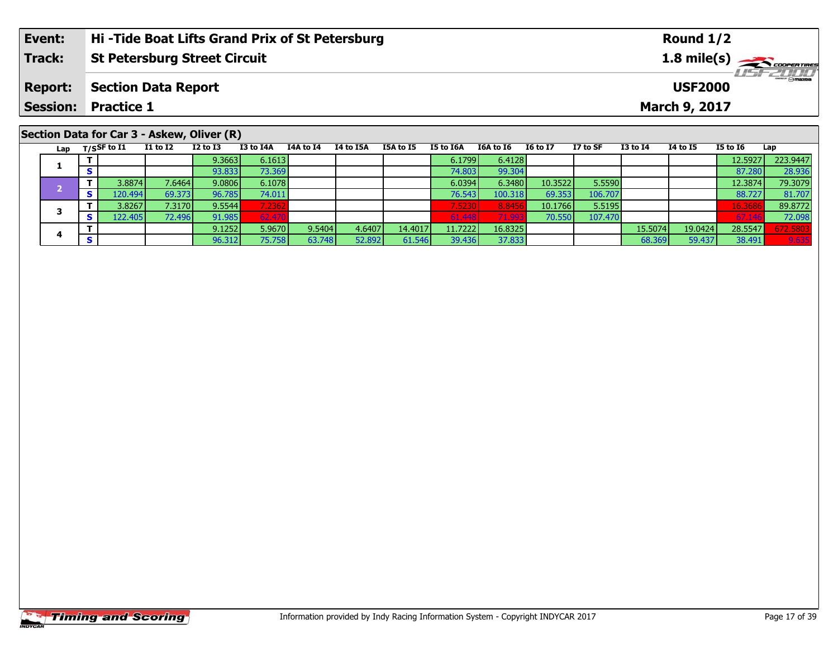| Event: | <b>Hi-Tide Boat Lifts Grand Prix of St Petersburg</b> | Round $1/2$                     |
|--------|-------------------------------------------------------|---------------------------------|
| Track: | <b>St Petersburg Street Circuit</b>                   | $1.8$ mile(s) $\frac{1}{2}$     |
|        | <b>Report: Section Data Report</b>                    | <b>Omazoa</b><br><b>USF2000</b> |
|        | <b>Session: Practice 1</b>                            | <b>March 9, 2017</b>            |
|        |                                                       |                                 |

# **Section Data for Car 3 - Askew, Oliver (R)**

| Lap |   | $T/S$ SF to $I1$ | <b>I1 to I2</b> | <b>I2 to I3</b> | I3 to I4A | I4A to I4 | I4 to I5A | <b>I5A to I5</b> | I5 to I6A | I6A to I6 | <b>I6 to I7</b> | I7 to SF | <b>I3 to I4</b> | 14 to 15 | <b>I5 to 16</b> | Lap      |
|-----|---|------------------|-----------------|-----------------|-----------|-----------|-----------|------------------|-----------|-----------|-----------------|----------|-----------------|----------|-----------------|----------|
|     |   |                  |                 | 9.3663          | 6.1613    |           |           |                  | 6.1799    | 6.4128    |                 |          |                 |          | 12.5927         | 223.9447 |
|     |   |                  |                 | 93.833          | 73.369    |           |           |                  | 74.803    | 99.304    |                 |          |                 |          | 87.280          | 28.936   |
|     |   | 3.8874           | 7.6464          | 9.0806          | 6.1078    |           |           |                  | 6.0394    | 6.3480    | 10.3522         | 5.5590   |                 |          | 12.3874         | 79.3079  |
|     | Э | .20.494 <b>1</b> | 69.373          | 96.785          | 74.011    |           |           |                  | 76.543    | 100.318   | 69.353          | 106.707  |                 |          | 88.727          | 81.707   |
|     |   | 3.8267           | 7.3170          | 9.5544          | 7.2362    |           |           |                  | 7.5230    | 8.8456    | 10.1766         | 5.5195   |                 |          | 16.3686         | 89.8772  |
|     |   | 122.405          | 72.496          | 91.985          | 62.470    |           |           |                  | 61.448    | 71.993    | 70.550          | 107.470  |                 |          | 67.146          | 72.098   |
|     |   |                  |                 | 9.1252          | 5.9670    | 9.5404    | 4.6407    | 14.4017          | 11.72221  | 16.8325   |                 |          | 15.5074         | 19.0424  | 28.5547         | 672.5803 |
|     |   |                  |                 | 96.312          | 75.758    | 63.748    | 52.892    | 61.546           | 39.436    | 37.833    |                 |          | 68.369          | 59.437   | 38.491          | 9.635    |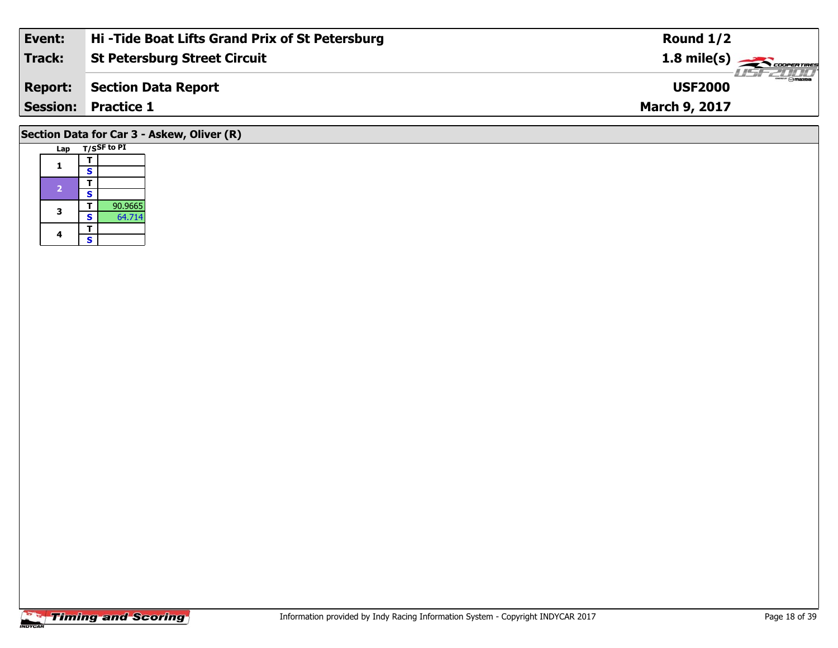| Event:                                     | Hi-Tide Boat Lifts Grand Prix of St Petersburg | Round $1/2$           |  |  |  |  |
|--------------------------------------------|------------------------------------------------|-----------------------|--|--|--|--|
| Track:                                     | <b>St Petersburg Street Circuit</b>            | $1.8 \text{ mile(s)}$ |  |  |  |  |
| <b>Report:</b>                             | Section Data Report                            | <b>USF2000</b>        |  |  |  |  |
|                                            | <b>Session: Practice 1</b>                     | March 9, 2017         |  |  |  |  |
| Section Data for Car 3 - Askew, Oliver (R) |                                                |                       |  |  |  |  |

# **Lap T/SSF to PI**  1  $\frac{1}{s}$ 2  $\frac{1}{s}$ **3a T** 90.9665<br>**S** 64.714 4  $\frac{1}{s}$  $\mathsf{s}$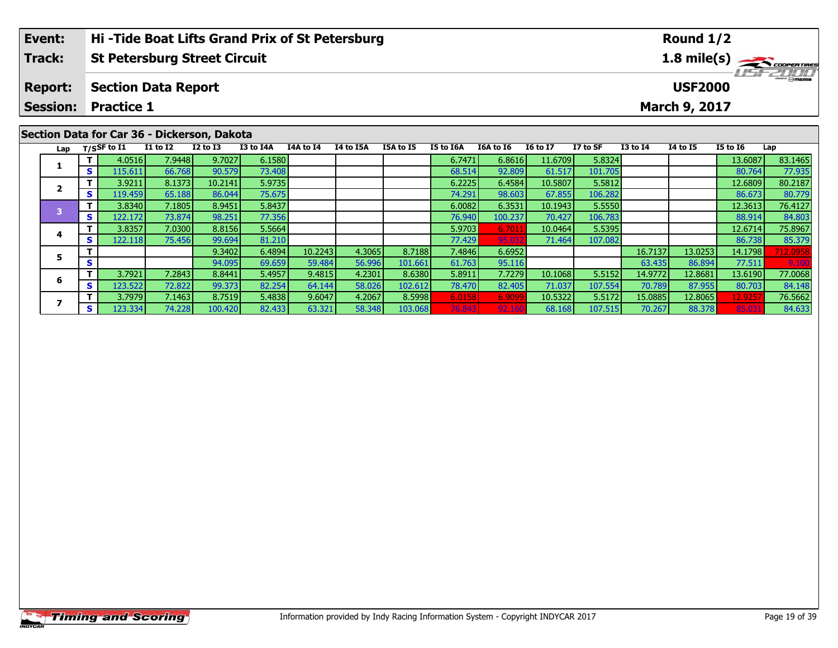| Event:         | Hi-Tide Boat Lifts Grand Prix of St Petersburg | Round $1/2$                             |
|----------------|------------------------------------------------|-----------------------------------------|
| Track:         | <b>St Petersburg Street Circuit</b>            | $1.8$ mile(s) $\rightarrow$ COOPERTIRES |
| <b>Report:</b> | Section Data Report                            | $mm$ $\odot$ mazna<br><b>USF2000</b>    |
|                | <b>Session: Practice 1</b>                     | <b>March 9, 2017</b>                    |
|                | .                                              |                                         |

#### Lap T/SSF to I1 I1 to I2 I2 to I3 I3 to I4A I4A to I4 I4 to I5A I5A to I5 I5 to I6A I6A to I6 I6 to I7 I7 to SF I3 to I4 I4 to I5 I5 to I6 Lap **1 <sup>T</sup>** 4.0516 7.9448 9.7027 6.1580 6.7471 6.8616 11.6709 5.8324 13.6087 83.1465 **<sup>S</sup>** 115.611 66.768 90.579 73.408 68.514 92.809 61.517 101.705 80.764 77.935**2 <sup>T</sup>** 3.9211 8.1373 10.2141 5.9735 6.2225 6.4584 10.5807 5.5812 12.6809 80.2187 **<sup>S</sup>** 119.459 65.188 86.044 75.675 74.291 98.603 67.855 106.282 86.673 80.77980.779 **3 <sup>T</sup>** 3.8340 7.1805 8.9451 5.8437 6.0082 6.3531 10.1943 5.5550 12.3613 76.4127 **<sup>S</sup>** 122.172 73.874 98.251 77.356 76.940 100.237 70.427 106.783 88.914 84.803**4 <sup>T</sup>** 3.8357 7.0300 8.8156 5.5664 5.9703 6.7011 10.0464 5.5395 12.6714 75.8967 **<sup>S</sup>** 122.118 75.456 99.694 81.210 77.429 95.032 71.464 107.082 86.738 85.37985.379 **5 <sup>T</sup>** 9.3402 6.4894 10.2243 4.3065 8.7188 7.4846 6.6952 16.7137 13.0253 14.1798 712.0958 **<sup>S</sup>** 94.095 69.659 59.484 56.996 101.661 61.763 95.116 63.435 86.894 77.511 9.100**6 <sup>T</sup>** 3.7921 7.2843 8.8441 5.4957 9.4815 4.2301 8.6380 5.8911 7.7279 10.1068 5.5152 14.9772 12.8681 13.6190 77.0068 **<sup>S</sup>** 123.522 72.822 99.373 82.254 64.144 58.026 102.612 78.470 82.405 71.037 107.554 70.789 87.955 80.703 84.148**7**7 | T | 3.7979| 7.1463| 8.7519| 5.4838| 9.6047| 4.2067| 8.5998 6.0158| 6.9099 10.5322| 5.5172| 15.0885| 12.8065 12.9257| 76.5662<br>7 | S | 123.334| 74.228| 100.420| 82.433| 63.321| 58.348| 103.068| 76.843| 92.160| 68.168| 10 84.633 **Section Data for Car 36 - Dickerson, Dakota**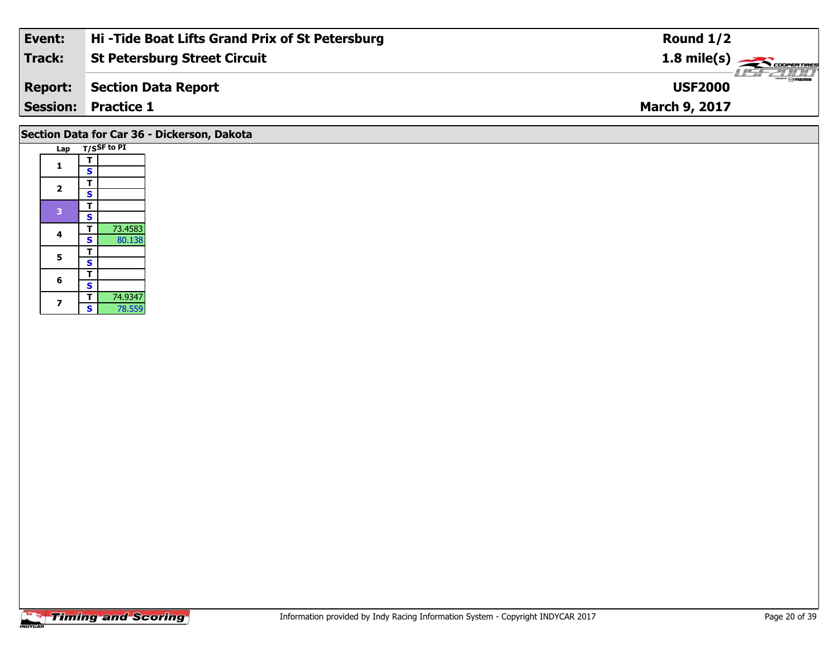| Event:          | Hi-Tide Boat Lifts Grand Prix of St Petersburg | Round $1/2$                     |
|-----------------|------------------------------------------------|---------------------------------|
| Track:          | <b>St Petersburg Street Circuit</b>            | $1.8 \text{ mile(s)}$           |
| <b>Report:</b>  | Section Data Report                            | <b>Omazoa</b><br><b>USF2000</b> |
| <b>Session:</b> | <b>Practice 1</b>                              | <b>March 9, 2017</b>            |
|                 |                                                |                                 |

# **Section Data for Car 36 - Dickerson, Dakota**

| Lap |                         | T/SSF to PI |
|-----|-------------------------|-------------|
| 1   | т                       |             |
|     | S                       |             |
| 2   | т                       |             |
|     | S                       |             |
| 3   | т                       |             |
|     | S                       |             |
| 4   | т                       | 73.4583     |
|     | S                       | 80.138      |
| 5   | т                       |             |
|     | $\overline{\mathbf{s}}$ |             |
| 6   | т                       |             |
|     | S                       |             |
| 7   | т                       | 74.9347     |
|     | S                       | 78.559      |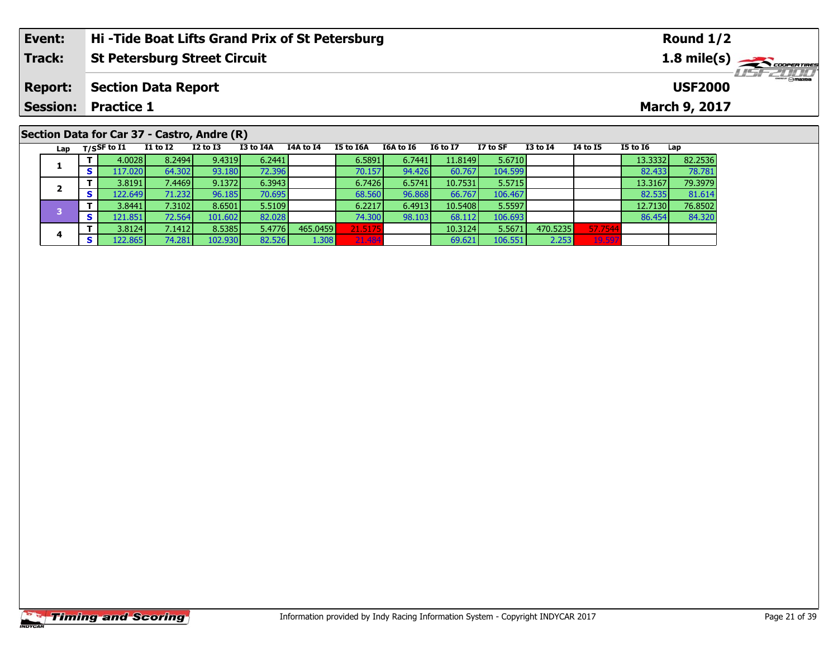| Event:                                      | Hi-Tide Boat Lifts Grand Prix of St Petersburg |          |          |           |           |           | Round $1/2$ |          |          |                 |                                         |                 |               |  |  |  |
|---------------------------------------------|------------------------------------------------|----------|----------|-----------|-----------|-----------|-------------|----------|----------|-----------------|-----------------------------------------|-----------------|---------------|--|--|--|
| <b>Track:</b>                               | <b>St Petersburg Street Circuit</b>            |          |          |           |           |           |             |          |          |                 | $1.8$ mile(s) $\rightarrow$ COOPERTIRES |                 |               |  |  |  |
| <b>Report:</b>                              | <b>Section Data Report</b>                     |          |          |           |           |           |             |          |          |                 | <b>LISF 2000</b><br><b>USF2000</b>      |                 |               |  |  |  |
| <b>Session:</b>                             | <b>Practice 1</b>                              |          |          |           |           |           |             |          |          |                 |                                         |                 | March 9, 2017 |  |  |  |
|                                             |                                                |          |          |           |           |           |             |          |          |                 |                                         |                 |               |  |  |  |
| Section Data for Car 37 - Castro, Andre (R) |                                                |          |          |           |           |           |             |          |          |                 |                                         |                 |               |  |  |  |
| Lap                                         | T/SSF to I1                                    | I1 to I2 | I2 to I3 | I3 to I4A | I4A to I4 | I5 to I6A | I6A to I6   | I6 to I7 | I7 to SF | <b>I3 to I4</b> | 14 to 15                                | <b>I5 to 16</b> | Lap           |  |  |  |

**<sup>T</sup>** 3.8124 7.1412 8.5385 5.4776 465.0459 21.5175 10.3124 5.5671 470.5235 57.7544 **<sup>S</sup>** 122.865 74.281 102.930 82.526 1.308 21.484 69.621 106.551 2.253 19.597

**<sup>T</sup>** 4.0028 8.2494 9.4319 6.2441 6.5891 6.7441 11.8149 5.6710 13.3332 82.2536 **<sup>S</sup>** 117.020 64.302 93.180 72.396 70.157 94.426 60.767 104.599 82.433 78.781

**<sup>T</sup>** 3.8191 7.4469 9.1372 6.3943 6.7426 6.5741 10.7531 5.5715 13.3167 79.3979 **<sup>S</sup>** 122.649 71.232 96.185 70.695 68.560 96.868 66.767 106.467 82.535 81.614

**<sup>T</sup>** 3.8441 7.3102 8.6501 5.5109 6.2217 6.4913 10.5408 5.5597 12.7130 76.8502 **<sup>S</sup>** 121.851 72.564 101.602 82.028 74.300 98.103 68.112 106.693 86.454 84.320

#### **Timing and Scoring**

**1**

**2**

**4**

81.614

84.320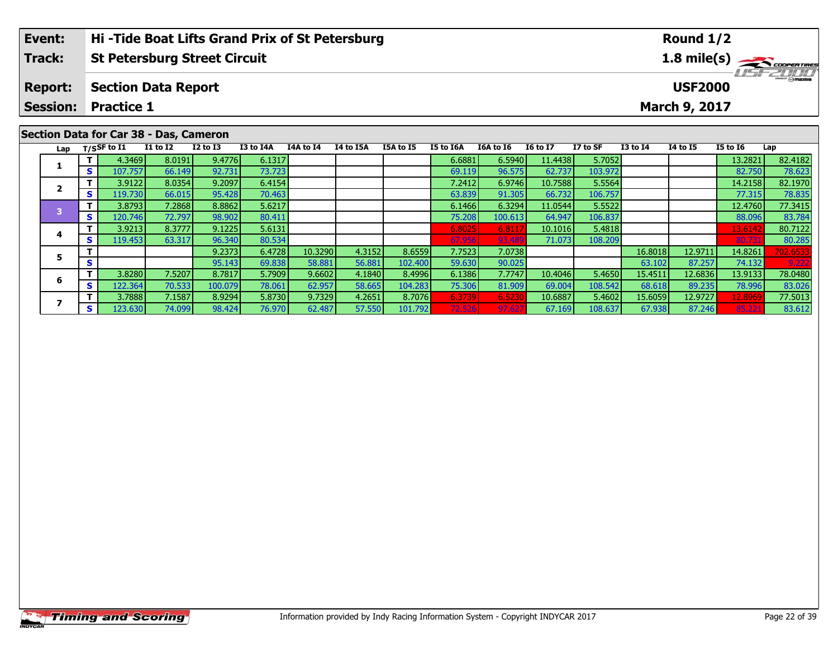| Event:         | Hi-Tide Boat Lifts Grand Prix of St Petersburg | Round $1/2$                               |
|----------------|------------------------------------------------|-------------------------------------------|
| Track:         | <b>St Petersburg Street Circuit</b>            | $1.8$ mile(s) $\frac{1.8}{\sqrt{2}}$      |
| <b>Report:</b> | Section Data Report                            | <i><b>LIST 2000</b></i><br><b>USF2000</b> |
|                | <b>Session: Practice 1</b>                     | <b>March 9, 2017</b>                      |
|                |                                                |                                           |

# **Section Data for Car 38 - Das, Cameron**

|   |          | Lap $T/SSF$ to I1 | $I1$ to $I2$ | $I2$ to $I3$ | <b>I3 to I4A</b> | I4A to I4 | <b>I4 to I5A</b> | <b>I5A to I5</b> | I5 to I6A | I6A to I6 | <b>I6 to I7</b> | I7 to SF | $I3$ to $I4$ | 14 to 15 | <b>I5 to 16</b> | Lap      |
|---|----------|-------------------|--------------|--------------|------------------|-----------|------------------|------------------|-----------|-----------|-----------------|----------|--------------|----------|-----------------|----------|
|   |          |                   |              |              |                  |           |                  |                  |           |           |                 |          |              |          |                 |          |
|   |          | 4.3469            | 8.0191       | 9.4776       | 6.1317           |           |                  |                  | 6.6881    | 6.5940    | 11.4438         | 5.7052   |              |          | 13.2821         | 82.4182  |
|   | s '      | 107.757           | 66.149       | 92.731       | 73.723           |           |                  |                  | 69.119    | 96.575    | 62.737          | 103.972  |              |          | 82.750          | 78.623   |
|   |          | 3.9122            | 8.0354       | 9.2097       | 6.4154           |           |                  |                  | 7.2412    | 6.9746    | 10.7588         | 5.5564   |              |          | 14.2158         | 82.1970  |
|   | S.       | 119.730           | 66.015       | 95.428       | 70.463           |           |                  |                  | 63.839    | 91.305    | 66.732          | 106.757  |              |          | 77.315          | 78.835   |
|   |          | 3.8793            | 7.2868       | 8.8862       | 5.6217           |           |                  |                  | 6.1466    | 6.3294    | 11.0544         | 5.5522   |              |          | 12.4760         | 77.3415  |
|   | <b>S</b> | 120.746           | 72.797       | 98.902       | 80.411           |           |                  |                  | 75.208    | 100.613   | 64.947          | 106.837  |              |          | 88.096          | 83.784   |
|   |          | 3.9213            | 8.3777       | 9.1225       | 5.6131           |           |                  |                  | 6.8025    | 6.8117    | 10.1016         | 5.4818   |              |          | 13.6142         | 80.7122  |
|   | S.       | 119.453           | 63.317       | 96.340       | 80.534           |           |                  |                  | 67.956    | 93.489    | 71.073          | 108.209  |              |          | 80.73           | 80.285   |
|   |          |                   |              | 9.2373       | 6.4728           | 10.3290   | 4.3152           | 8.6559           | 7.7523    | 7.0738    |                 |          | 16.8018      | 12.9711  | 14.8261         | 702.6533 |
|   | S        |                   |              | 95.143       | 69.838           | 58.881    | 56.881           | 102.400          | 59.630    | 90.025    |                 |          | 63.102       | 87.257   | 74.132          | 9.222    |
|   |          | 3.8280            | 7.5207       | 8.7817       | 5.7909           | 9.6602    | 4.1840           | 8.4996           | 6.1386    | 7.7747    | 10.4046         | 5.4650   | 15.4511      | 12.6836  | 13.9133         | 78.0480  |
| ь | S.       | 122.364           | 70.533       | 100.079      | 78.061           | 62.957    | 58.665           | 104.283          | 75.306    | 81.909    | 69.004          | 108.542  | 68.618       | 89.235   | 78.996          | 83.026   |
|   |          | 3.7888            | 7.1587       | 8.9294       | 5.8730           | 9.7329    | 4.2651           | 8.7076           | 6.3739    | 6.5230    | 10.6887         | 5.4602   | 15.6059      | 12.9727  | 12.8969         | 77.5013  |
|   | <b>S</b> | 123.630           | 74.099       | 98.424       | 76.970           | 62.487    | 57.550           | 101.792          | 72.526    | 97.627    | 67.169          | 108.637  | 67.938       | 87.246   | 85.22           | 83.612   |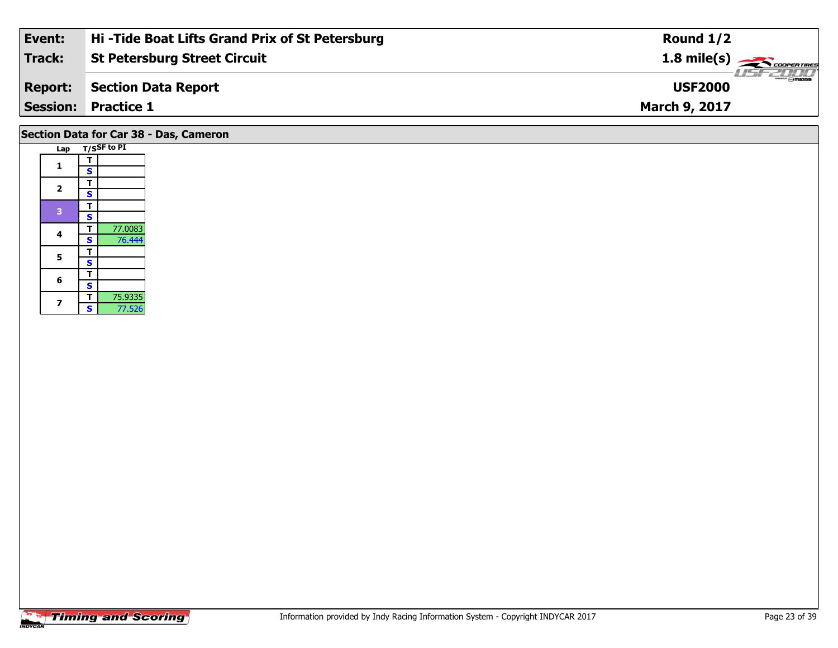| Event:         | Hi-Tide Boat Lifts Grand Prix of St Petersburg | Round $1/2$                        |
|----------------|------------------------------------------------|------------------------------------|
| Track:         | <b>St Petersburg Street Circuit</b>            | $1.8 \text{ mile(s)}$              |
| <b>Report:</b> | Section Data Report                            | <b>LISF 2000</b><br><b>USF2000</b> |
|                | <b>Session: Practice 1</b>                     | <b>March 9, 2017</b>               |
|                |                                                |                                    |

# **Section Data for Car 38 - Das, Cameron**

| Lap            |   | T/SSF to PI |
|----------------|---|-------------|
| 1              | т |             |
|                | S |             |
| $\overline{2}$ | т |             |
|                | S |             |
| 3              |   |             |
|                | S |             |
| 4              | т | 77.0083     |
|                | S | 76.444      |
| 5              | т |             |
|                | S |             |
| 6              | т |             |
|                | S |             |
| 7              | т | 75.9335     |
|                | Ś | 77.526      |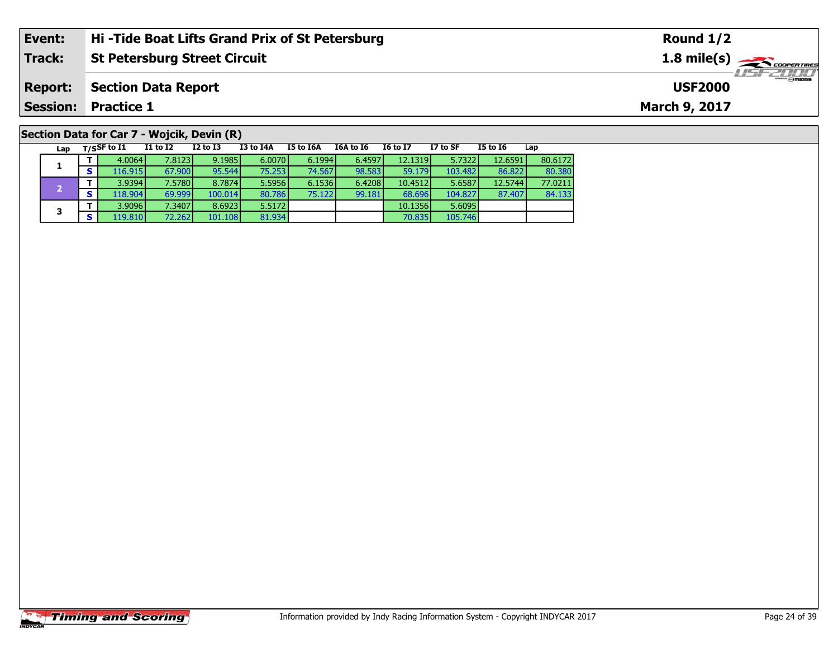| Event:         | Hi-Tide Boat Lifts Grand Prix of St Petersburg                                                                                              | Round $1/2$                     |
|----------------|---------------------------------------------------------------------------------------------------------------------------------------------|---------------------------------|
| Track:         | <b>St Petersburg Street Circuit</b>                                                                                                         | 1.8 mile(s)<br><u> TELEVIDO</u> |
| <b>Report:</b> | <b>Section Data Report</b>                                                                                                                  | <b>USF2000</b>                  |
|                | <b>Session: Practice 1</b>                                                                                                                  | March 9, 2017                   |
|                | Section Data for Car 7 - Wojcik, Devin (R)                                                                                                  |                                 |
| Lap            | I3 to I4A<br>I5 to I6A<br>I1 to I2<br>I2 to I3<br>I5 to I6<br>$_{\mathsf{T}}$ /SSF to I1<br><b>I6 to I7</b><br>I7 to SF<br>I6A to I6<br>Lap |                                 |

84.133

**<sup>T</sup>** 4.0064 7.8123 9.1985 6.0070 6.1994 6.4597 12.1319 5.7322 12.6591 80.6172 **<sup>S</sup>** 116.915 67.900 95.544 75.253 74.567 98.583 59.179 103.482 86.822 80.380

**<sup>T</sup>** 3.9394 7.5780 8.7874 5.5956 6.1536 6.4208 10.4512 5.6587 12.5744 77.0211 **<sup>S</sup>** 118.904 69.999 100.014 80.786 75.122 99.181 68.696 104.827 87.407 84.133

**T** 3.9096 7.3407 8.6923 5.5172 10.1356 5.6095<br> **S** 119.810 72.262 101.108 81.934 70.835 105.746

#### **Timing and Scoring**

**1**

**3**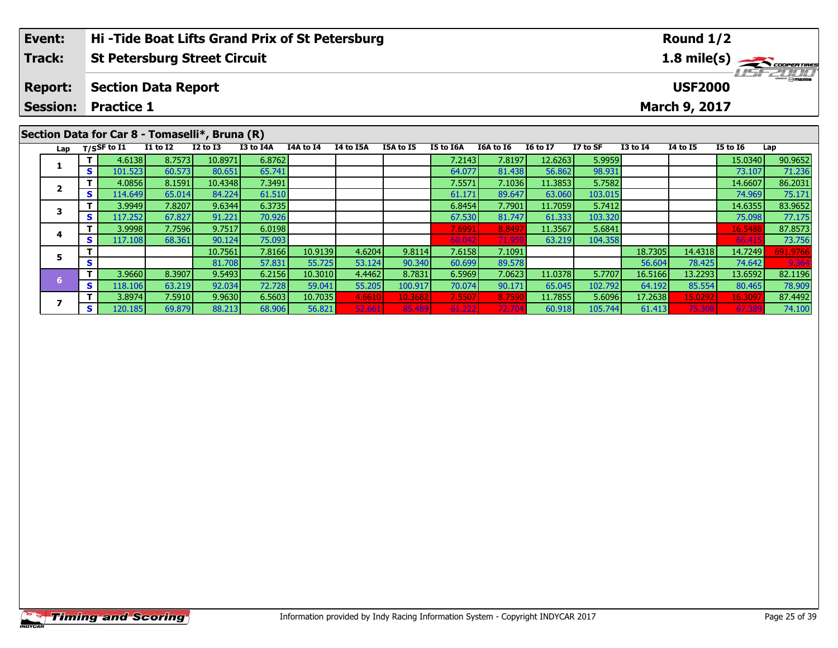| Event:                                         | Hi-Tide Boat Lifts Grand Prix of St Petersburg |          |          |           |  |                     |           | Round $1/2$ |           |                       |                                    |          |          |          |     |  |
|------------------------------------------------|------------------------------------------------|----------|----------|-----------|--|---------------------|-----------|-------------|-----------|-----------------------|------------------------------------|----------|----------|----------|-----|--|
| <b>Track:</b>                                  | <b>St Petersburg Street Circuit</b>            |          |          |           |  |                     |           |             |           | $1.8 \text{ mile(s)}$ |                                    |          |          |          |     |  |
| <b>Report:</b>                                 | <b>Section Data Report</b>                     |          |          |           |  |                     |           |             |           |                       | <b>LISF 2000</b><br><b>USF2000</b> |          |          |          |     |  |
| <b>Session:</b>                                | <b>Practice 1</b>                              |          |          |           |  |                     |           |             |           | March 9, 2017         |                                    |          |          |          |     |  |
|                                                |                                                |          |          |           |  |                     |           |             |           |                       |                                    |          |          |          |     |  |
| Section Data for Car 8 - Tomaselli*, Bruna (R) |                                                |          |          |           |  |                     |           |             |           |                       |                                    |          |          |          |     |  |
|                                                | $I_{\rm an}$ $T/SSF$ to $I1$                   | I1 to I2 | I2 to I3 | I3 to I4A |  | I4A to I4 I4 to I5A | I5A to I5 | I5 to I6A   | I6A to I6 | I6 to I7              | I7 to SF                           | I3 to I4 | 14 to 15 | I5 to I6 | Lap |  |

| Lap |   | T/SSF to I1 | <b>I1 to I2</b> | I2 to I3 | I3 to I4A | I4A to I4 | I4 to I5A | I5A to I5 | I5 to I6A | <b>I6A to I6</b> | <b>I6 to I7</b> | I7 to SF | <b>I3 to I4</b> | <b>I4 to I5</b> | <b>I5 to 16</b> | Lap      |
|-----|---|-------------|-----------------|----------|-----------|-----------|-----------|-----------|-----------|------------------|-----------------|----------|-----------------|-----------------|-----------------|----------|
|     |   | 4.6138      | 8.7573          | 10.8971  | 6.8762    |           |           |           | 7.2143    | 7.8197           | 12.6263         | 5.9959   |                 |                 | 15.0340         | 90.9652  |
|     | s | 101.523     | 60.573          | 80.651   | 65.741    |           |           |           | 64.077    | 81.438           | 56.862          | 98.931   |                 |                 | 73.107          | 71.236   |
|     |   | 4.0856      | 8.1591          | 10.4348  | 7.3491    |           |           |           | 7.5571    | 7.1036           | 11.3853         | 5.7582   |                 |                 | 14.6607         | 86.2031  |
|     |   | 114.649     | 65.014          | 84.224   | 61.510    |           |           |           | 61.171    | 89.647           | 63.060          | 103.015  |                 |                 | 74.969          | 75.171   |
|     |   | 3.9949      | 7.8207          | 9.6344   | 6.3735    |           |           |           | 6.8454    | 7.7901           | 11.7059         | 5.7412   |                 |                 | 14.6355         | 83.9652  |
|     |   | 117.252     | 67.827          | 91.221   | 70.926    |           |           |           | 67.530    | 81.747           | 61.333          | 103.320  |                 |                 | 75.098          | 77.175   |
|     |   | 3.9998      | 7.7596          | 9.7517   | 6.0198    |           |           |           | 7.6991    | 8.8497           | 11.3567         | 5.6841   |                 |                 | 16.5488         | 87.8573  |
|     |   | 117.108     | 68.361          | 90.124   | 75.093    |           |           |           | 60.042    | 71.959           | 63.219          | 104.358  |                 |                 | 66.41           | 73.756   |
|     |   |             |                 | 10.7561  | 7.8166    | 10.9139   | 4.6204    | 9.8114    | 7.6158    | 7.1091           |                 |          | 18.7305         | 14.4318         | 14.7249         | 691.9766 |
|     | s |             |                 | 81.708   | 57.831    | 55.725    | 53.124    | 90.340    | 60.699    | 89.578           |                 |          | 56.604          | 78.425          | 74.642          | 9.364    |
|     |   | 3.9660      | 8.3907          | 9.5493   | 6.2156    | 10.3010   | 4.4462    | 8.7831    | 6.5969    | 7.0623           | 11.0378         | 5.7707   | 16.5166         | 13.2293         | 13.6592         | 82.1196  |
|     | s | 118.106     | 63.219          | 92.034   | 72.728    | 59.041    | 55.205    | 100.917   | 70.074    | 90.171           | 65.045          | 102.792  | 64.192          | 85.554          | 80.465          | 78.909   |
|     |   | 3.8974      | 7.5910          | 9.9630   | 6.5603    | 10.7035   | 4.661     | 10.3682   | 7.5507    | 8.7590           | 11.7855         | 5.6096   | 17.2638         | 15.0292         | 16.309          | 87.4492  |
|     |   | 120.185     | 69.879          | 88.213   | 68.906    | 56.821    | 52.661    | 85.489    | 61.222    | 72.704           | 60.918          | 105.744  | 61.413          | 75.308          | 67.389          | 74.100   |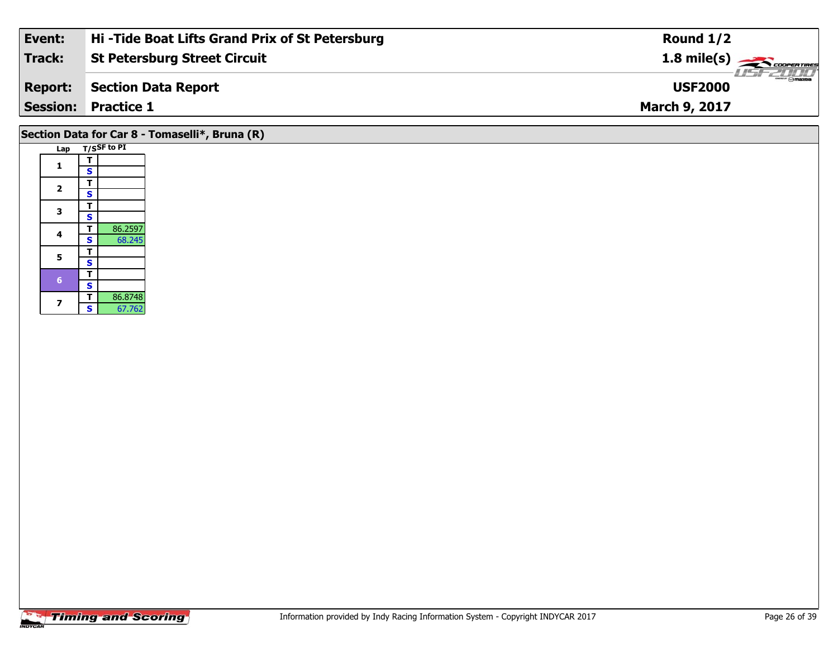| Event:         | Hi-Tide Boat Lifts Grand Prix of St Petersburg | Round $1/2$                     |
|----------------|------------------------------------------------|---------------------------------|
| Track:         | <b>St Petersburg Street Circuit</b>            | $1.8 \text{ mile(s)}$           |
| <b>Report:</b> | Section Data Report                            | <b>Omazoa</b><br><b>USF2000</b> |
|                | <b>Session: Practice 1</b>                     | <b>March 9, 2017</b>            |
|                |                                                |                                 |

# **Section Data for Car 8 - Tomaselli\*, Bruna (R)**

| Lap |                         | T/SSF to PI |
|-----|-------------------------|-------------|
| 1   | т                       |             |
|     | S                       |             |
| 2   | т                       |             |
|     | S                       |             |
| 3   | т                       |             |
|     | S                       |             |
| 4   | т                       | 86.2597     |
|     | S                       | 68.245      |
| 5   | т                       |             |
|     | S                       |             |
| 6   | т                       |             |
|     | $\overline{\mathbf{s}}$ |             |
| 7   | т                       | 86.8748     |
|     | Š                       | 67.762      |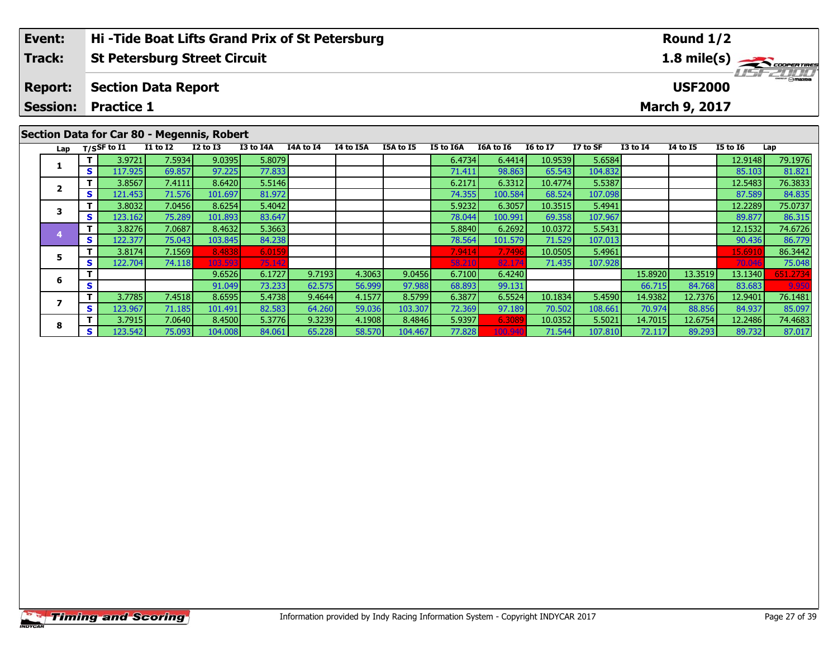|                | .                                              |                                                                                             |
|----------------|------------------------------------------------|---------------------------------------------------------------------------------------------|
|                | <b>Session: Practice 1</b>                     | <b>March 9, 2017</b>                                                                        |
| <b>Report:</b> | Section Data Report                            | <b>USF2000</b>                                                                              |
| Track:         | <b>St Petersburg Street Circuit</b>            | $1.8$ mile(s) $\frac{1.8 \text{ m/e}}{6.00 \text{ m} \cdot \text{m/e}}$<br><b>LISE CLIP</b> |
| Event:         | Hi-Tide Boat Lifts Grand Prix of St Petersburg | Round $1/2$                                                                                 |

#### Lap T/SSF to I1 I1 to I2 I2 to I3 I3 to I4A I4A to I4 I4 to I5A I5A to I5 I5 to I6A I6A to I6 I6 to I7 I7 to SF I3 to I4 I4 to I5 I5 to I6 Lap **1 <sup>T</sup>** 3.9721 7.5934 9.0395 5.8079 6.4734 6.4414 10.9539 5.6584 12.9148 79.1976 **<sup>S</sup>** 117.925 69.857 97.225 77.833 71.411 98.863 65.543 104.832 85.103 81.821**2 <sup>T</sup>** 3.8567 7.4111 8.6420 5.5146 6.2171 6.3312 10.4774 5.5387 12.5483 76.3833 **<sup>S</sup>** 121.453 71.576 101.697 81.972 74.355 100.584 68.524 107.098 87.589 84.83584.835 **3 <sup>T</sup>** 3.8032 7.0456 8.6254 5.4042 5.9232 6.3057 10.3515 5.4941 12.2289 75.0737 **<sup>S</sup>** 123.162 75.289 101.893 83.647 78.044 100.991 69.358 107.967 89.877 86.315**4 <sup>T</sup>** 3.8276 7.0687 8.4632 5.3663 5.8840 6.2692 10.0372 5.5431 12.1532 74.6726 **<sup>S</sup>** 122.377 75.043 103.845 84.238 78.564 101.579 71.529 107.013 90.436 86.77986.779 **5 <sup>T</sup>** 3.8174 7.1569 8.4838 6.0159 7.9414 7.7496 10.0505 5.4961 15.6910 86.3442 **<sup>S</sup>** 122.704 74.118 103.593 75.142 58.210 82.174 71.435 107.928 70.046 75.04875.048 **6 <sup>T</sup>** 9.6526 6.1727 9.7193 4.3063 9.0456 6.7100 6.4240 15.8920 13.3519 13.1340 651.2734 **<sup>S</sup>** 91.049 73.233 62.575 56.999 97.988 68.893 99.131 66.715 84.768 83.683 9.950**7**7 | T | 3.7785| 7.4518| 8.6595| 5.4738| 9.4644| 4.1577| 8.5799| 6.3877| 6.5524| 10.1834| 5.4590| 14.9382| 12.7376| 12.9401| 76.1481<br>7 | S | 123.967| 71.185| 101.491| 82.583| 64.260| 59.036| 103.307| 72.369| 97.189| 70.502| 85.097 **8**8 T | 3.7915 7.0640 8.4500 5.3776 9.3239 4.1908 8.4846 5.9397 6.3089 10.0352 5.5021 14.7015 12.6754 12.2486 74.4683<br>S S 123.542 75.093 104.008 84.061 65.228 58.570 104.467 77.828 100.940 71.544 107.810 72.117 89.293 89.732 87.017 **Section Data for Car 80 - Megennis, Robert**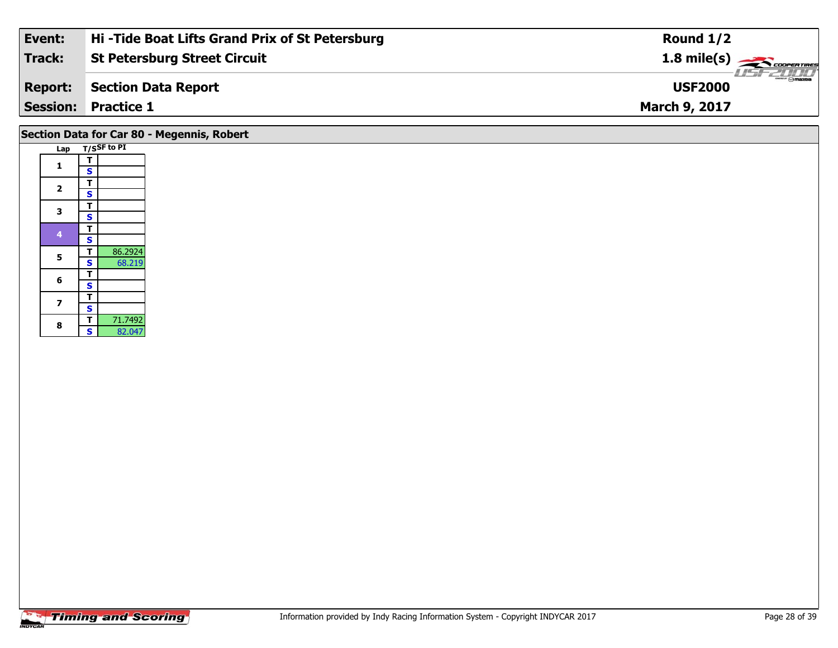| Event:         | Hi-Tide Boat Lifts Grand Prix of St Petersburg | Round $1/2$                                              |
|----------------|------------------------------------------------|----------------------------------------------------------|
| Track:         | <b>St Petersburg Street Circuit</b>            | $1.8$ mile(s) $\rightarrow$ COOPERTIRES                  |
| <b>Report:</b> | Section Data Report                            | $\overline{\phantom{m}}$ $\odot$ mazpa<br><b>USF2000</b> |
|                | <b>Session: Practice 1</b>                     | <b>March 9, 2017</b>                                     |
|                |                                                |                                                          |

| Section Data for Car 80 - Megennis, Robert |  |  |  |
|--------------------------------------------|--|--|--|
|--------------------------------------------|--|--|--|

| Lap            |                         | T/SSF to PI |
|----------------|-------------------------|-------------|
| 1              | т                       |             |
|                | S                       |             |
| $\overline{2}$ | т                       |             |
|                | S                       |             |
| 3              | T                       |             |
|                | $\overline{\mathbf{s}}$ |             |
| 4              | т                       |             |
|                | S                       |             |
| 5              | т                       | 86.2924     |
|                | $\overline{\mathbf{s}}$ | 68.219      |
| 6              | т                       |             |
|                | S                       |             |
| 7              | т                       |             |
|                | S                       |             |
| 8              | т                       | 71.7492     |
|                | S                       | 82.047      |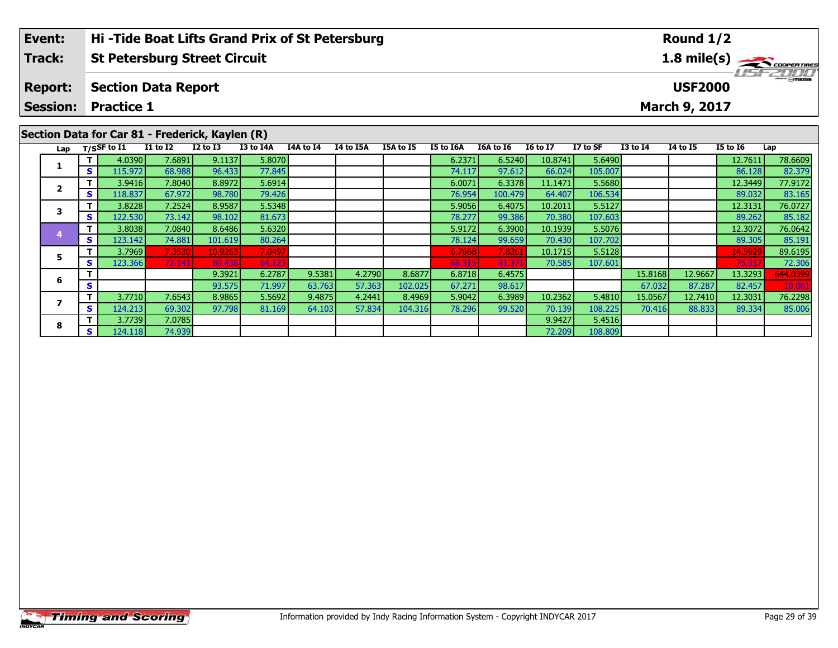| Event:         | Hi-Tide Boat Lifts Grand Prix of St Petersburg  | Round $1/2$                             |
|----------------|-------------------------------------------------|-----------------------------------------|
| <b>Track:</b>  | <b>St Petersburg Street Circuit</b>             | $1.8$ mile(s) $\rightarrow$ COOPERTIRES |
| <b>Report:</b> | <b>Section Data Report</b>                      | <b>LIST 2000</b><br><b>USF2000</b>      |
|                | <b>Session: Practice 1</b>                      | March 9, 2017                           |
|                | Section Data for Car 81 - Frederick, Kaylen (R) |                                         |
|                |                                                 |                                         |

| Lap |     | T/SSF to I1 | <b>I1 to I2</b> | <b>I2 to I3</b> | <b>I3 to I4A</b> | <b>I4A to I4</b> | <b>I4 to I5A</b> | I5A to I5 | I5 to I6A | I6A to I6 | <b>16 to 17</b> | I7 to SF | <b>I3 to I4</b> | 14 to 15 | I5 to 16 | Lap      |
|-----|-----|-------------|-----------------|-----------------|------------------|------------------|------------------|-----------|-----------|-----------|-----------------|----------|-----------------|----------|----------|----------|
|     |     | 4.0390      | 7.6891          | 9.1137          | 5.8070           |                  |                  |           | 6.2371    | 6.5240    | 10.8741         | 5.6490   |                 |          | 12.7611  | 78.6609  |
|     | S.  | 115.972     | 68.988          | 96.433          | 77.845           |                  |                  |           | 74.117    | 97.612    | 66.024          | 105.007  |                 |          | 86.128   | 82.379   |
|     |     | 3.9416      | 7.8040          | 8.8972          | 5.6914           |                  |                  |           | 6.0071    | 6.3378    | 11.1471         | 5.5680   |                 |          | 12.3449  | 77.9172  |
|     | S I | 118.837     | 67.972          | 98.780          | 79.426           |                  |                  |           | 76.954    | 100.479   | 64.407          | 106.534  |                 |          | 89.032   | 83.165   |
|     |     | 3.8228      | 7.2524          | 8.9587          | 5.5348           |                  |                  |           | 5.9056    | 6.4075    | 10.2011         | 5.5127   |                 |          | 12.3131  | 76.0727  |
|     | S.  | 122.530     | 73.142          | 98.102          | 81.673           |                  |                  |           | 78.277    | 99.386    | 70.380          | 107.603  |                 |          | 89.262   | 85.182   |
|     |     | 3.8038      | 7.0840          | 8.6486          | 5.6320           |                  |                  |           | 5.9172    | 6.3900    | 10.1939         | 5.5076   |                 |          | 12.3072  | 76.0642  |
|     | S.  | 123.142     | 74.881          | 101.619         | 80.264           |                  |                  |           | 78.124    | 99.659    | 70.430          | 107.702  |                 |          | 89.305   | 85.191   |
|     |     | 3.7969      | 7.3530          | 10.9263         | 7.0497           |                  |                  |           | 6.7668    | 7.8261    | 10.1715         | 5.5128   |                 |          | 14.5929  | 89.6195  |
|     | S I | 123.366     | 72.141          | 80.436          | 64.123           |                  |                  |           | 68.315    | 81.371    | 70.585          | 107.601  |                 |          | 75.317   | 72.306   |
|     |     |             |                 | 9.3921          | 6.2787           | 9.5381           | 4.2790           | 8.6877    | 6.8718    | 6.4575    |                 |          | 15.8168         | 12.9667  | 13.3293  | 644.0399 |
| b   | S   |             |                 | 93.575          | 71.997           | 63.763           | 57.363           | 102.025   | 67.271    | 98.617    |                 |          | 67.032          | 87.287   | 82.457   | 10.061   |
|     |     | 3.7710      | 7.6543          | 8.9865          | 5.5692           | 9.4875           | 4.2441           | 8.4969    | 5.9042    | 6.3989    | 10.2362         | 5.4810   | 15.0567         | 12.7410  | 12.3031  | 76.2298  |
|     | s l | 124.213     | 69.302          | 97.798          | 81.169           | 64.103           | 57.834           | 104.316   | 78.296    | 99.520    | 70.139          | 108.225  | 70.416          | 88.833   | 89.334   | 85.006   |
| 8   |     | 3.7739      | 7.0785          |                 |                  |                  |                  |           |           |           | 9.9427          | 5.4516   |                 |          |          |          |
|     | S.  | 124.118     | 74.939          |                 |                  |                  |                  |           |           |           | 72.209          | 108.809  |                 |          |          |          |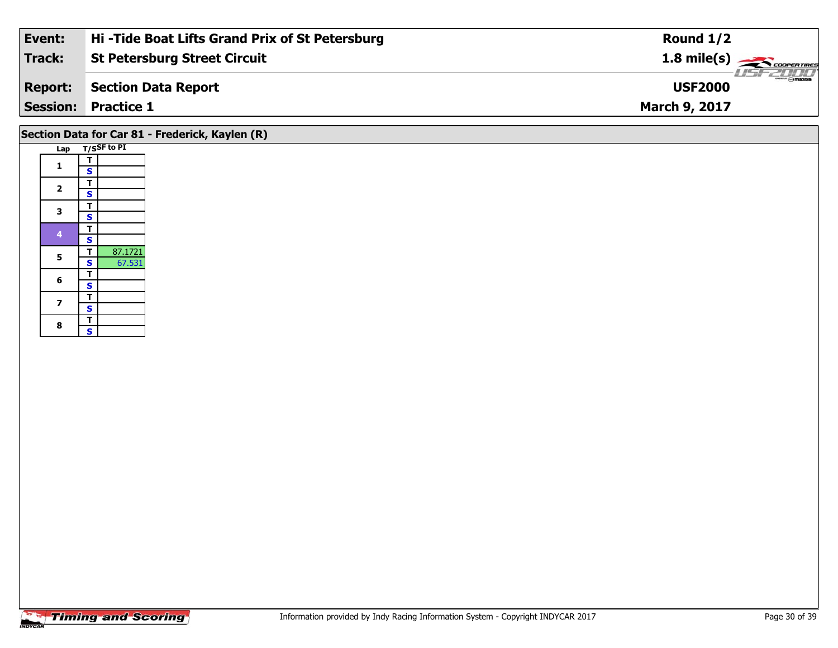| Event:         | Hi-Tide Boat Lifts Grand Prix of St Petersburg | Round $1/2$                             |
|----------------|------------------------------------------------|-----------------------------------------|
| Track:         | <b>St Petersburg Street Circuit</b>            | $1.8$ mile(s) $\rightarrow$ coorentines |
| <b>Report:</b> | Section Data Report                            | <b>USF2000</b>                          |
|                | <b>Session: Practice 1</b>                     | <b>March 9, 2017</b>                    |
|                |                                                |                                         |

# **Section Data for Car 81 - Frederick, Kaylen (R)**

| Lap | T/SSF to PI             |         |
|-----|-------------------------|---------|
| 1   | т                       |         |
|     | S                       |         |
| 2   | T                       |         |
|     | S                       |         |
| 3   | T                       |         |
|     | s                       |         |
| 4   | т                       |         |
|     | S                       |         |
| 5   | T                       | 87.1721 |
|     | S                       | 67.531  |
| 6   | I                       |         |
|     | S                       |         |
| 7   | Т                       |         |
|     | S                       |         |
| 8   | T                       |         |
|     | $\overline{\mathbf{s}}$ |         |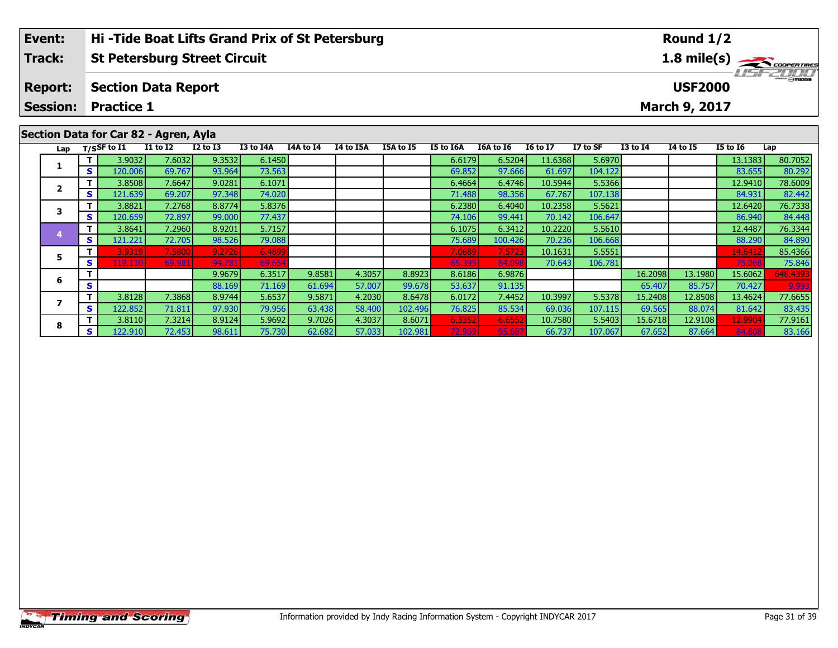| Event:         | Hi-Tide Boat Lifts Grand Prix of St Petersburg | Round $1/2$                     |
|----------------|------------------------------------------------|---------------------------------|
| Track:         | <b>St Petersburg Street Circuit</b>            |                                 |
| <b>Report:</b> | Section Data Report                            | $\frac{1}{2}$<br><b>USF2000</b> |
|                | <b>Session: Practice 1</b>                     | <b>March 9, 2017</b>            |
|                |                                                |                                 |

| Secuoli Data IVI Cai OZ - Agieli, Ayia |          |                                   |                 |                 |           |           |           |           |           |           |                 |          |                 |                 |                 |          |
|----------------------------------------|----------|-----------------------------------|-----------------|-----------------|-----------|-----------|-----------|-----------|-----------|-----------|-----------------|----------|-----------------|-----------------|-----------------|----------|
| Lap                                    |          | T/SSF to $\overline{\textbf{11}}$ | <b>I1 to I2</b> | <b>I2 to I3</b> | I3 to I4A | I4A to I4 | I4 to I5A | I5A to I5 | I5 to I6A | I6A to I6 | <b>16 to 17</b> | I7 to SF | <b>I3 to I4</b> | <b>I4 to I5</b> | <b>I5 to 16</b> | Lap      |
|                                        |          | 3.9032                            | 7.6032          | 9.3532          | 6.1450    |           |           |           | 6.6179    | 6.5204    | 11.6368         | 5.6970   |                 |                 | 13.1383         | 80.7052  |
|                                        | S.       | 120.006                           | 69.767          | 93.964          | 73.563    |           |           |           | 69.852    | 97.666    | 61.697          | 104.122  |                 |                 | 83.655          | 80.292   |
|                                        |          | 3.8508                            | 7.6647          | 9.0281          | 6.1071    |           |           |           | 6.4664    | 6.4746    | 10.5944         | 5.5366   |                 |                 | 12.9410         | 78.6009  |
|                                        | S        | 121.639                           | 69.207          | 97.348          | 74.020    |           |           |           | 71.488    | 98.356    | 67.767          | 107.138  |                 |                 | 84.931          | 82.442   |
|                                        |          | 3.8821                            | 7.2768          | 8.8774          | 5.8376    |           |           |           | 6.2380    | 6.4040    | 10.2358         | 5.5621   |                 |                 | 12.6420         | 76.7338  |
|                                        | <b>S</b> | 120.659                           | 72.897          | 99.000          | 77.437    |           |           |           | 74.106    | 99.441    | 70.142          | 106.647  |                 |                 | 86.940          | 84.448   |
|                                        | Т        | 3.8641                            | 7.2960          | 8.9201          | 5.7157    |           |           |           | 6.1075    | 6.3412    | 10.2220         | 5.5610   |                 |                 | 12.4487         | 76.3344  |
|                                        | <b>S</b> | 121.221                           | 72.705          | 98.526          | 79.088    |           |           |           | 75.689    | 100.426   | 70.236          | 106.668  |                 |                 | 88.290          | 84.890   |
| 5                                      |          | 3.9319                            | 7.5800          | 9.2726          | 6.4899    |           |           |           | 7.0689    | 7.5723    | 10.1631         | 5.5551   |                 |                 | 14.641          | 85.4366  |
|                                        | S.       | 119.130                           | 69.981          | 94.781          | 69.654    |           |           |           | 65.395    | 84.098    | 70.643          | 106.781  |                 |                 | 75.06           | 75.846   |
| 6                                      |          |                                   |                 | 9.9679          | 6.3517    | 9.8581    | 4.3057    | 8.8923    | 8.6186    | 6.9876    |                 |          | 16.2098         | 13.1980         | 15.6062         | 548.4393 |
|                                        | S        |                                   |                 | 88.169          | 71.169    | 61.694    | 57.007    | 99.678    | 53.637    | 91.135    |                 |          | 65.407          | 85.757          | 70.427          | 9.993    |
|                                        | T.       | 3.8128                            | 7.3868          | 8.9744          | 5.6537    | 9.5871    | 4.2030    | 8.6478    | 6.0172    | 7.4452    | 10.3997         | 5.5378   | 15.2408         | 12.8508         | 13.4624         | 77.6655  |
|                                        | <b>S</b> | 122.852                           | 71.811          | 97.930          | 79.956    | 63.438    | 58.400    | 102.496   | 76.825    | 85.534    | 69.036          | 107.115  | 69.565          | 88.074          | 81.642          | 83.435   |
| 8                                      |          | 3.8110                            | 7.3214          | 8.9124          | 5.9692    | 9.7026    | 4.3037    | 8.6071    | 6.3352    | 6.6552    | 10.7580         | 5.5403   | 15.6718         | 12.9108         | 12.9904         | 77.9161  |
|                                        | S.       | 122.910                           | 72.453          | 98.611          | 75.730    | 62.682    | 57.033    | 102.981   | 72.969    | 95.68     | 66.737          | 107.067  | 67.652          | 87.664          | 84.60           | 83.166   |

# **Section Data for Car 82 - Agren, Ayla**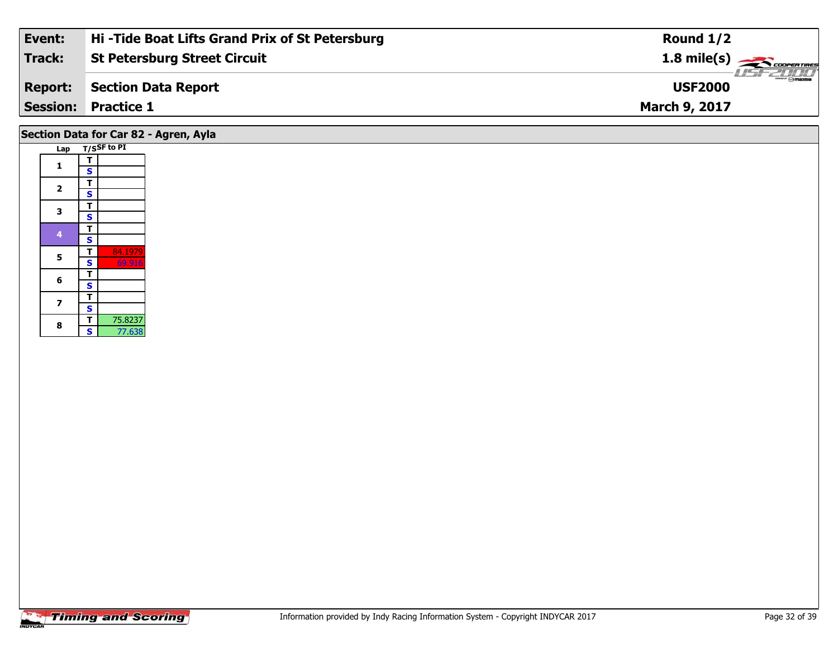| Event:         | Hi-Tide Boat Lifts Grand Prix of St Petersburg | Round $1/2$                        |
|----------------|------------------------------------------------|------------------------------------|
| Track:         | <b>St Petersburg Street Circuit</b>            | $1.8 \text{ mile(s)}$              |
| <b>Report:</b> | Section Data Report                            | <b>LISF 2000</b><br><b>USF2000</b> |
|                | <b>Session: Practice 1</b>                     | <b>March 9, 2017</b>               |
|                |                                                |                                    |

# **Section Data for Car 82 - Agren, Ayla**

| Lap            |                         | T/SSF to PI |
|----------------|-------------------------|-------------|
| $\mathbf{1}$   | т                       |             |
|                | S                       |             |
| $\overline{2}$ | т                       |             |
|                | S                       |             |
| 3              | T                       |             |
|                | s                       |             |
| 4              | т                       |             |
|                | S                       |             |
| 5              | т                       | 84.1979     |
|                | $\overline{\mathbf{s}}$ | 69.916      |
| 6              | т                       |             |
|                | Š                       |             |
| 7              | т                       |             |
|                | Š                       |             |
| 8              | т                       | 75.8237     |
|                | S                       | 77.638      |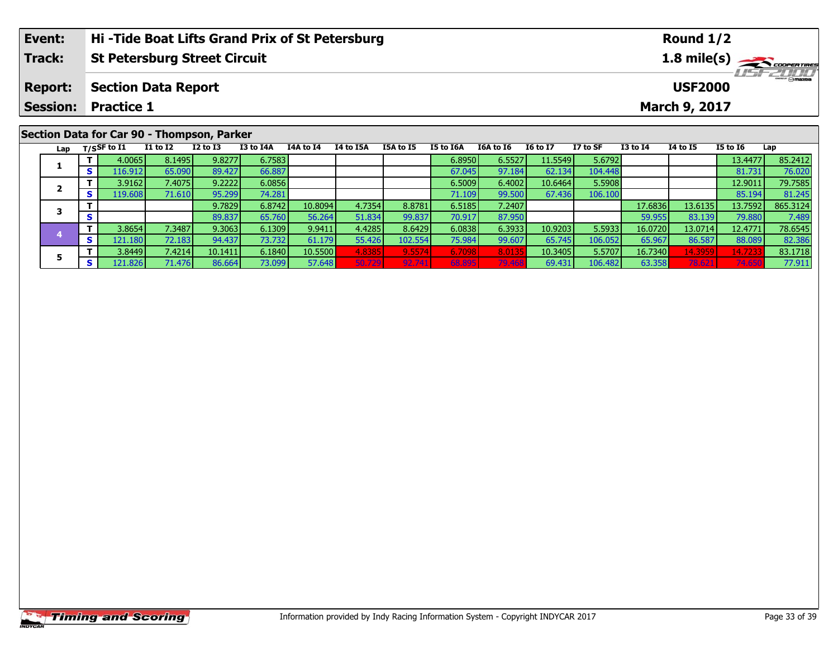| Event:         | Hi-Tide Boat Lifts Grand Prix of St Petersburg | Round $1/2$                            |
|----------------|------------------------------------------------|----------------------------------------|
| <b>Track:</b>  | <b>St Petersburg Street Circuit</b>            | $1.8$ mile(s) $\rightarrow$ coorgaines |
| <b>Report:</b> | <b>Section Data Report</b>                     | <b>LISF 2000</b><br><b>USF2000</b>     |
|                | <b>Session: Practice 1</b>                     | March 9, 2017                          |
|                | Section Data for Car 90 - Thompson, Parker     |                                        |

Lap T/SSF to I1 I1 to I2 I2 to I3 I3 to I4A I4A to I4 I4 to I5A I5A to I5 I5 to I6A I6A to I6 I6 to I7 I7 to SF I3 to I4 I4 to I5 I5 to I6 Lap

**<sup>T</sup>** 4.0065 8.1495 9.8277 6.7583 6.8950 6.5527 11.5549 5.6792 13.4477 85.2412 **<sup>S</sup>** 116.912 65.090 89.427 66.887 67.045 97.184 62.134 104.448 81.731 76.020

**<sup>T</sup>** 3.9162 7.4075 9.2222 6.0856 6.5009 6.4002 10.6464 5.5908 12.9011 79.7585 **<sup>S</sup>** 119.608 71.610 95.299 74.281 71.109 99.500 67.436 106.100 85.194 81.245

**<sup>T</sup>** 9.7829 6.8742 10.8094 4.7354 8.8781 6.5185 7.2407 17.6836 13.6135 13.7592 865.3124 **<sup>S</sup>** 89.837 65.760 56.264 51.834 99.837 70.917 87.950 59.955 83.139 79.880 7.489

4 T 3.8654 7.3487 9.3063 6.1309 9.9411 4.4285 8.6429 6.0838 6.3933 10.9203 5.5933 16.0720 13.0714 12.4771 78.6545<br>- S 121.180 72.183 94.437 73.732 61.179 55.426 102.554 75.984 99.607 65.745 106.052 65.967 86.587 88.089 82.

**<sup>T</sup>** 3.8449 7.4214 10.1411 6.1840 10.5500 4.8385 9.5574 6.7098 8.0135 10.3405 5.5707 16.7340 14.3959 14.7233 83.1718 **<sup>S</sup>** 121.826 71.476 86.664 73.099 57.648 50.729 92.741 68.895 79.468 69.431 106.482 63.358 78.621 74.650 77.911

#### **Timing and Scoring**

**1**

**2**

**3**

**4**

**5**

81.245<br>865.3124

82.38

77.911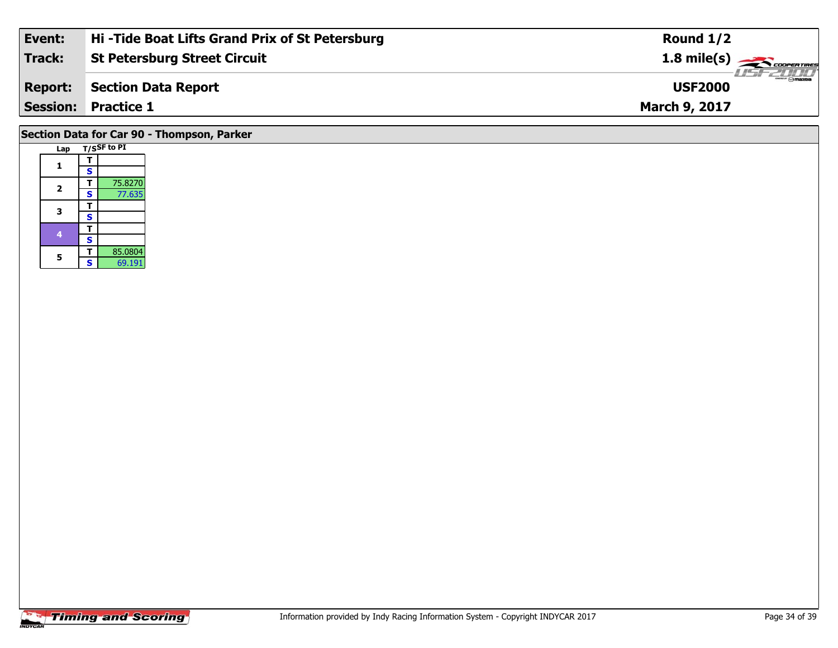| Event:         | Hi-Tide Boat Lifts Grand Prix of St Petersburg | Round $1/2$                     |
|----------------|------------------------------------------------|---------------------------------|
| Track:         | <b>St Petersburg Street Circuit</b>            | $1.8 \text{ mile(s)}$           |
| <b>Report:</b> | Section Data Report                            | <b>Omazoa</b><br><b>USF2000</b> |
|                | <b>Session: Practice 1</b>                     | <b>March 9, 2017</b>            |
|                |                                                |                                 |

# **Section Data for Car 90 - Thompson, Parker**

| Lap |   | T/SSF to PI |
|-----|---|-------------|
| 1   | т |             |
|     | S |             |
| 2   | т | 75.8270     |
|     | S | 77.635      |
| 3   | т |             |
|     | S |             |
| 4   | т |             |
|     | S |             |
| 5   | т | 85.0804     |
|     | S | 69.191      |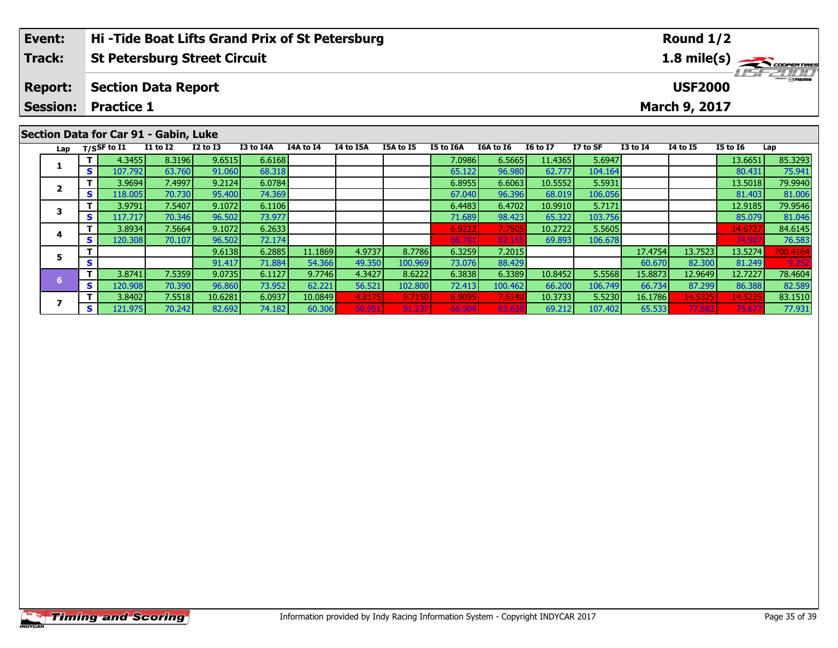| Event:          | Hi-Tide Boat Lifts Grand Prix of St Petersburg | Round $1/2$                 |
|-----------------|------------------------------------------------|-----------------------------|
| Track:          | <b>St Petersburg Street Circuit</b>            |                             |
| <b>Report:</b>  | <b>Section Data Report</b>                     | LISE 2000<br><b>USF2000</b> |
| <b>Session:</b> | <b>Practice 1</b>                              | <b>March 9, 2017</b>        |
|                 | Section Data for Car 91 - Gabin Luke           |                             |

|     |     |             | S            |                 |           |           |           |                  |                  |           |                 |          |                 |                 |                 |          |
|-----|-----|-------------|--------------|-----------------|-----------|-----------|-----------|------------------|------------------|-----------|-----------------|----------|-----------------|-----------------|-----------------|----------|
| Lap |     | T/SSF to I1 | $I1$ to $I2$ | <b>I2 to I3</b> | I3 to I4A | I4A to I4 | I4 to I5A | <b>I5A to I5</b> | <b>I5 to I6A</b> | I6A to I6 | <b>16 to 17</b> | I7 to SF | <b>I3 to I4</b> | <b>I4 to I5</b> | <b>I5 to 16</b> | Lap      |
|     |     | 4.3455      | 8.3196       | 9.6515          | 6.6168    |           |           |                  | 7.0986           | 6.5665    | 11.4365         | 5.6947   |                 |                 | 13.6651         | 85.3293  |
|     | S.  | 107.792     | 63.760       | 91.060          | 68.318    |           |           |                  | 65.122           | 96.980    | 62.777          | 104.164  |                 |                 | 80.431          | 75.941   |
|     |     | 3.9694      | 7.4997       | 9.2124          | 6.0784    |           |           |                  | 6.8955           | 6.6063    | 10.5552         | 5.5931   |                 |                 | 13.5018         | 79.9940  |
|     | S.  | 118.005     | 70.730       | 95.400          | 74.369    |           |           |                  | 67.040           | 96.396    | 68.019          | 106.056  |                 |                 | 81.403          | 81.006   |
|     |     | 3.9791      | 7.5407       | 9.1072          | 6.1106    |           |           |                  | 6.4483           | 6.4702    | 10.9910         | 5.7171   |                 |                 | 12.9185         | 79.9546  |
|     | S   | 117.717     | 70.346       | 96.502          | 73.977    |           |           |                  | 71.689           | 98.423    | 65.322          | 103.756  |                 |                 | 85.079          | 81.046   |
|     |     | 3.8934      | 7.5664       | 9.1072          | 6.2633    |           |           |                  | 6.9222           | 7.7505    | 10.2722         | 5.5605   |                 |                 | 14.672          | 84.6145  |
|     | S.  | 120.308     | 70.107       | 96.502          | 72.174    |           |           |                  | 66.781           | 82.165    | 69.893          | 106.678  |                 |                 | 74.90           | 76.583   |
|     |     |             |              | 9.6138          | 6.2885    | 11.1869   | 4.9737    | 8.7786           | 6.3259           | 7.2015    |                 |          | 17.4754         | 13.7523         | 13.5274         | 700.4164 |
|     | s   |             |              | 91.417          | 71.884    | 54.366    | 49.350    | 100.969          | 73.076           | 88.429    |                 |          | 60.670          | 82.300          | 81.249          | 9.252    |
|     |     | 3.8741      | 7.5359       | 9.0735          | 6.1127    | 9.7746    | 4.3427    | 8.6222           | 6.3838           | 6.3389    | 10.8452         | 5.5568   | 15.8873         | 12.9649         | 12.7227         | 78.4604  |
|     | S.  | 120.908     | 70.390       | 96.860          | 73.952    | 62.221    | 56.521    | 102.800          | 72.413           | 100.462   | 66.200          | 106.749  | 66.734          | 87.299          | 86.388          | 82.589   |
|     |     | 3.8402      | 7.5518       | 10.6281         | 6.0937    | 10.0849   | 4.8175    | 9.7150           | 6.9095           | 7.6140    | 10.3733         | 5.5230   | 16.1786         | 14.5325         | 14.5235         | 83.1510  |
|     | s l | 121.975     | 70.242       | 82.692          | 74.182    | 60.306    | 50.95     | 91.237           | 66.904           | 83.63     | 69.212          | 107.402  | 65.533          | 77.882          | 75.67           | 77.931   |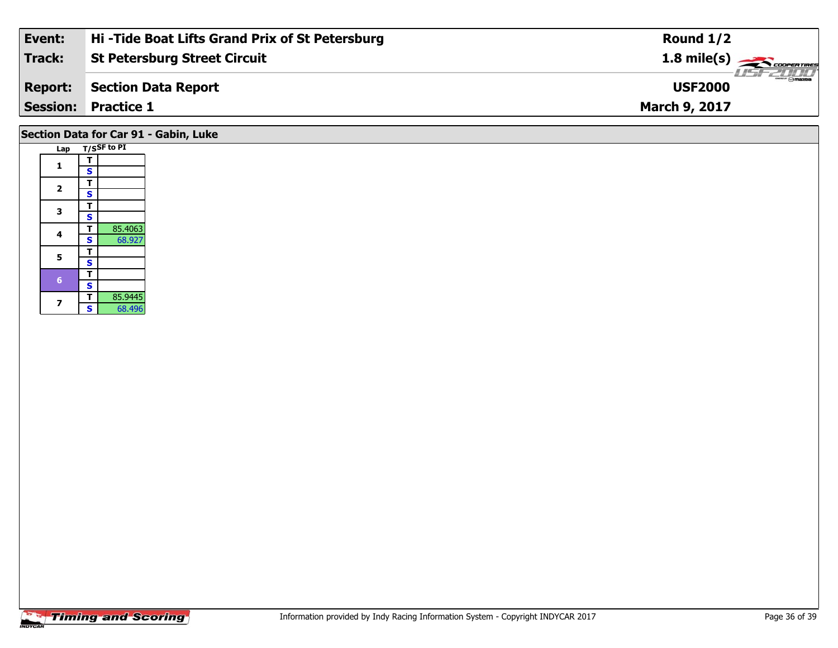| Event:         | Hi-Tide Boat Lifts Grand Prix of St Petersburg | Round $1/2$                                                                                                                                                                                                                                                                                                                                                                                                         |
|----------------|------------------------------------------------|---------------------------------------------------------------------------------------------------------------------------------------------------------------------------------------------------------------------------------------------------------------------------------------------------------------------------------------------------------------------------------------------------------------------|
| Track:         | <b>St Petersburg Street Circuit</b>            | 1.8 mile(s) $\frac{1}{\sqrt{1-\frac{1}{2}}}\frac{1}{\sqrt{1-\frac{1}{2}}}\frac{1}{\sqrt{1-\frac{1}{2}}}\frac{1}{\sqrt{1-\frac{1}{2}}}\frac{1}{\sqrt{1-\frac{1}{2}}}\frac{1}{\sqrt{1-\frac{1}{2}}}\frac{1}{\sqrt{1-\frac{1}{2}}}\frac{1}{\sqrt{1-\frac{1}{2}}}\frac{1}{\sqrt{1-\frac{1}{2}}}\frac{1}{\sqrt{1-\frac{1}{2}}}\frac{1}{\sqrt{1-\frac{1}{2}}}\frac{1}{\sqrt{1-\frac{1}{2}}}\frac{1}{\sqrt{1-\frac{1}{2}}$ |
| <b>Report:</b> | Section Data Report                            | <b>USF2000</b>                                                                                                                                                                                                                                                                                                                                                                                                      |
|                | <b>Session: Practice 1</b>                     | <b>March 9, 2017</b>                                                                                                                                                                                                                                                                                                                                                                                                |
|                |                                                |                                                                                                                                                                                                                                                                                                                                                                                                                     |

# **Section Data for Car 91 - Gabin, Luke**

| Lap |   | T/SSF to PI |
|-----|---|-------------|
|     | т |             |
| 1   | S |             |
|     | т |             |
| 2   | S |             |
|     | т |             |
| 3   | S |             |
|     | т | 85.4063     |
| 4   | S | 68.927      |
| 5   | т |             |
|     | S |             |
| 6   | т |             |
|     | S |             |
| 7   | т | 85.9445     |
|     | S | 68.496      |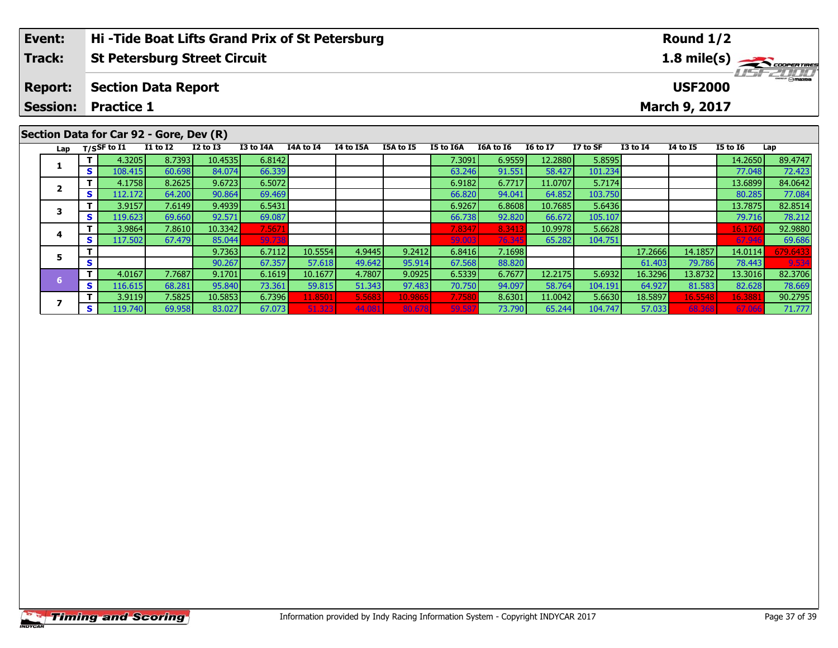| Event:                                  | Hi-Tide Boat Lifts Grand Prix of St Petersburg |          |          |           |           |           |           |           |           |                 |          |              | Round $1/2$    |                 |                  |
|-----------------------------------------|------------------------------------------------|----------|----------|-----------|-----------|-----------|-----------|-----------|-----------|-----------------|----------|--------------|----------------|-----------------|------------------|
| <b>Track:</b>                           | <b>St Petersburg Street Circuit</b>            |          |          |           |           |           |           |           |           |                 |          |              |                |                 | 1.8 mile(s)      |
| <b>Report:</b>                          | <b>Section Data Report</b>                     |          |          |           |           |           |           |           |           |                 |          |              | <b>USF2000</b> |                 | <b>LISF 2000</b> |
| <b>Session:</b>                         | <b>Practice 1</b>                              |          |          |           |           |           |           |           |           |                 |          |              | March 9, 2017  |                 |                  |
|                                         |                                                |          |          |           |           |           |           |           |           |                 |          |              |                |                 |                  |
| Section Data for Car 92 - Gore, Dev (R) |                                                |          |          |           |           |           |           |           |           |                 |          |              |                |                 |                  |
| Lap                                     | T/SSF to I1                                    | I1 to I2 | I2 to I3 | I3 to I4A | I4A to I4 | I4 to I5A | I5A to I5 | I5 to I6A | I6A to I6 | <b>I6 to I7</b> | I7 to SF | $I3$ to $I4$ | 14 to 15       | <b>I5 to I6</b> | Lap              |

| ⊾ap | .               |         |        |         |        |         |        |         |        |        |         |         |         |         |         |          |
|-----|-----------------|---------|--------|---------|--------|---------|--------|---------|--------|--------|---------|---------|---------|---------|---------|----------|
|     |                 | 4.3205  | 8.7393 | 10.4535 | 6.8142 |         |        |         | 7.3091 | 6.9559 | 12.2880 | 5.8595  |         |         | 14.2650 | 89.4747  |
|     | s               | 108.415 | 60.698 | 84.074  | 66.339 |         |        |         | 63.246 | 91.551 | 58.427  | 101.234 |         |         | 77.048  | 72.423   |
|     |                 | 4.1758  | 8.2625 | 9.6723  | 6.5072 |         |        |         | 6.9182 | 6.7717 | 11.0707 | 5.7174  |         |         | 13.6899 | 84.0642  |
|     | э               | 112.172 | 64.200 | 90.864  | 69.469 |         |        |         | 66.820 | 94.041 | 64.852  | 103.750 |         |         | 80.285  | 77.084   |
|     |                 | 3.9157  | 7.6149 | 9.4939  | 6.5431 |         |        |         | 6.9267 | 6.8608 | 10.7685 | 5.6436  |         |         | 13.7875 | 82.8514  |
|     | s               | 119.623 | 69.660 | 92.571  | 69.087 |         |        |         | 66.738 | 92.820 | 66.672  | 105.107 |         |         | 79.716  | 78.212   |
|     |                 | 3.9864  | 7.8610 | 10.3342 | 7.5671 |         |        |         | 7.8347 | 8.341  | 10.9978 | 5.6628  |         |         | 16.1760 | 92.9880  |
|     | $\epsilon$<br>э | 117.502 | 67.479 | 85.044  | 59.738 |         |        |         | 59.003 | 76.345 | 65.282  | 104.751 |         |         | 67.946  | 69.686   |
|     |                 |         |        | 9.7363  | 6.7112 | 10.5554 | 4.9445 | 9.2412  | 6.8416 | 7.1698 |         |         | 17.2666 | 14.1857 | 14.0114 | 679.6433 |
|     |                 |         |        | 90.267  | 67.357 | 57.618  | 49.642 | 95.914  | 67.568 | 88.820 |         |         | 61.403  | 79.786  | 78.443  | 9.534    |
|     |                 | 4.0167  | 7.7687 | 9.1701  | 6.1619 | 10.1677 | 4.7807 | 9.0925  | 6.5339 | 6.7677 | 12.2175 | 5.6932  | 16.3296 | 13.8732 | 13.3016 | 82.3706  |
|     | s               | 116.615 | 68.281 | 95.840  | 73.361 | 59.815  | 51.343 | 97.483  | 70.750 | 94.097 | 58.764  | 104.191 | 64.927  | 81.583  | 82.628  | 78.669   |
|     |                 | 3.9119  | 7.5825 | 10.5853 | 6.7396 | 11.8501 | 5.5683 | 10.9865 | 7.7580 | 8.6301 | 11.0042 | 5.6630  | 18.5897 | 16.5548 | 16.3881 | 90.2795  |
|     | S               | 119.740 | 69.958 | 83.027  | 67.073 | 51.323  | 44.081 | 80.678  | 59.587 | 73.790 | 65.244  | 104.747 | 57.033  | 68.368  | 67.066  | 71.777   |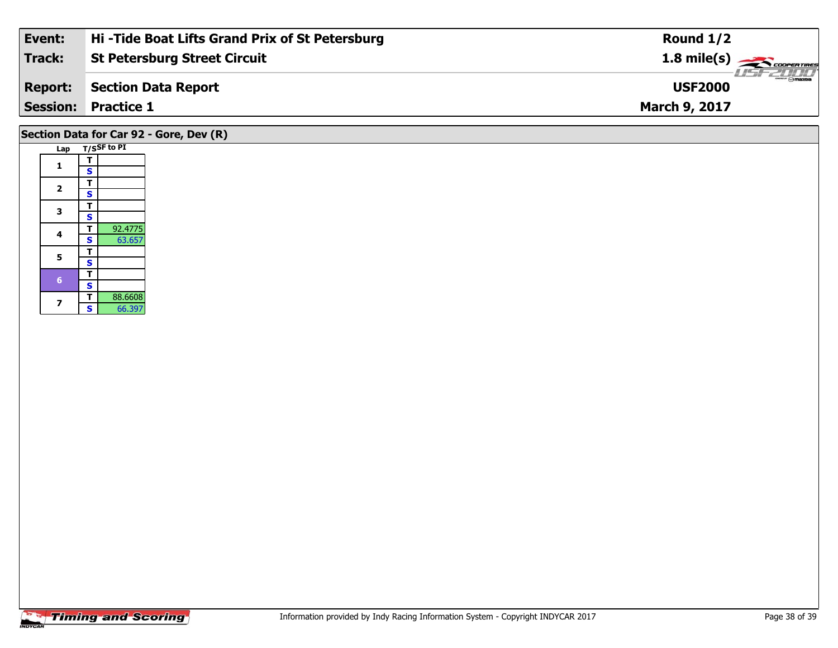| <b>Session:</b> | <b>Practice 1</b>                              | <b>March 9, 2017</b>                       |
|-----------------|------------------------------------------------|--------------------------------------------|
| <b>Report:</b>  | Section Data Report                            | $\frac{1}{\Theta}$ mazpa<br><b>USF2000</b> |
| Track:          | <b>St Petersburg Street Circuit</b>            | $1.8$ mile(s) $\rightarrow$ COOPERTIRES    |
| Event:          | Hi-Tide Boat Lifts Grand Prix of St Petersburg | Round $1/2$                                |

# **Section Data for Car 92 - Gore, Dev (R)**

| Lap |                         | T/SSF to PI |
|-----|-------------------------|-------------|
| 1   | т                       |             |
|     | S                       |             |
| 2   | т                       |             |
|     | S                       |             |
| 3   | т                       |             |
|     | S                       |             |
| 4   | т                       | 92.4775     |
|     | S                       | 63.657      |
| 5   | т                       |             |
|     | S                       |             |
| 6   | т                       |             |
|     | $\overline{\mathbf{s}}$ |             |
| 7   | т                       | 88.6608     |
|     | Ś                       | 66.397      |